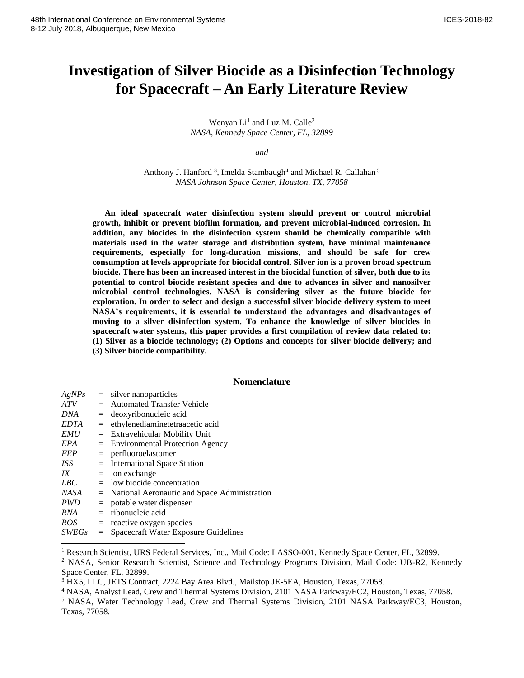# **Investigation of Silver Biocide as a Disinfection Technology for Spacecraft – An Early Literature Review**

Wenyan  $Li<sup>1</sup>$  and Luz M. Calle<sup>2</sup> *NASA, Kennedy Space Center, FL, 32899* 

*and*

Anthony J. Hanford<sup>3</sup>, Imelda Stambaugh<sup>4</sup> and Michael R. Callahan<sup>5</sup> *NASA Johnson Space Center, Houston, TX, 77058*

**An ideal spacecraft water disinfection system should prevent or control microbial growth, inhibit or prevent biofilm formation, and prevent microbial-induced corrosion. In addition, any biocides in the disinfection system should be chemically compatible with materials used in the water storage and distribution system, have minimal maintenance requirements, especially for long-duration missions, and should be safe for crew consumption at levels appropriate for biocidal control. Silver ion is a proven broad spectrum biocide. There has been an increased interest in the biocidal function of silver, both due to its potential to control biocide resistant species and due to advances in silver and nanosilver microbial control technologies. NASA is considering silver as the future biocide for exploration. In order to select and design a successful silver biocide delivery system to meet NASA's requirements, it is essential to understand the advantages and disadvantages of moving to a silver disinfection system. To enhance the knowledge of silver biocides in spacecraft water systems, this paper provides a first compilation of review data related to: (1) Silver as a biocide technology; (2) Options and concepts for silver biocide delivery; and (3) Silver biocide compatibility.**

# **Nomenclature**

| AgNPs      | $=$ silver nanoparticles                         |
|------------|--------------------------------------------------|
| ATV        | $=$ Automated Transfer Vehicle                   |
| DNA        | $=$ deoxyribonucleic acid                        |
| EDTA       | $=$ ethylenediaminetetraacetic acid              |
| <i>EMU</i> | $=$ Extravehicular Mobility Unit                 |
| EPA        | $=$ Environmental Protection Agency              |
| <b>FEP</b> | $=$ perfluoroelastomer                           |
| ISS-       | $=$ International Space Station                  |
| IX         | $=$ ion exchange                                 |
| LBC        | $=$ low biocide concentration                    |
| NASA       | $=$ National Aeronautic and Space Administration |
| <b>PWD</b> | $=$ potable water dispenser                      |
| RNA        | $=$ ribonucleic acid                             |
| <i>ROS</i> | $=$ reactive oxygen species                      |
| CUTEC      | Susanangk Water Francesco Cridelines             |

*SWEGs* = Spacecraft Water Exposure Guidelines

 $\overline{a}$ 

<sup>&</sup>lt;sup>1</sup> Research Scientist, URS Federal Services, Inc., Mail Code: LASSO-001, Kennedy Space Center, FL, 32899.

<sup>2</sup> NASA, Senior Research Scientist, Science and Technology Programs Division, Mail Code: UB-R2, Kennedy Space Center, FL, 32899.

<sup>3</sup> HX5, LLC, JETS Contract, 2224 Bay Area Blvd., Mailstop JE-5EA, Houston, Texas, 77058.

<sup>4</sup> NASA, Analyst Lead, Crew and Thermal Systems Division, 2101 NASA Parkway/EC2, Houston, Texas, 77058.

<sup>5</sup> NASA, Water Technology Lead, Crew and Thermal Systems Division, 2101 NASA Parkway/EC3, Houston, Texas, 77058.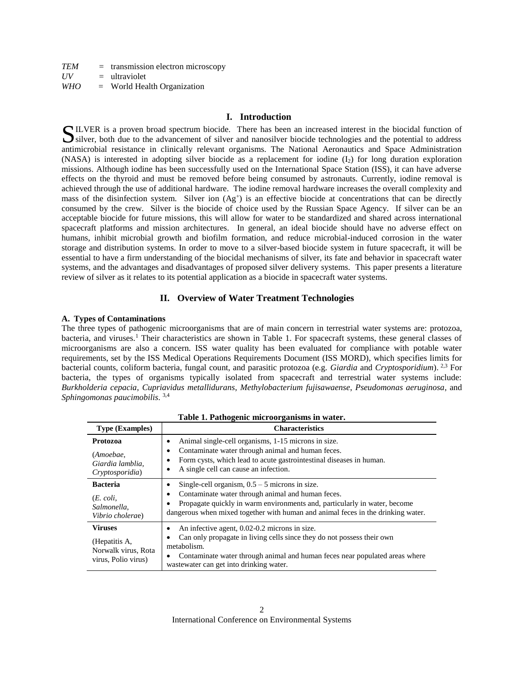| <b>TEM</b> | $=$ transmission electron microscopy |
|------------|--------------------------------------|
| UV         | $=$ ultraviolet                      |
| <b>WHO</b> | $=$ World Health Organization        |

# **I. Introduction**

ILVER is a proven broad spectrum biocide. There has been an increased interest in the biocidal function of SILVER is a proven broad spectrum biocide. There has been an increased interest in the biocidal function of silver, both due to the advancement of silver and nanosilver biocide technologies and the potential to address antimicrobial resistance in clinically relevant organisms. The National Aeronautics and Space Administration (NASA) is interested in adopting silver biocide as a replacement for iodine  $(I_2)$  for long duration exploration missions. Although iodine has been successfully used on the International Space Station (ISS), it can have adverse effects on the thyroid and must be removed before being consumed by astronauts. Currently, iodine removal is achieved through the use of additional hardware. The iodine removal hardware increases the overall complexity and mass of the disinfection system. Silver ion  $(Ag^+)$  is an effective biocide at concentrations that can be directly consumed by the crew. Silver is the biocide of choice used by the Russian Space Agency. If silver can be an acceptable biocide for future missions, this will allow for water to be standardized and shared across international spacecraft platforms and mission architectures. In general, an ideal biocide should have no adverse effect on humans, inhibit microbial growth and biofilm formation, and reduce microbial-induced corrosion in the water storage and distribution systems. In order to move to a silver-based biocide system in future spacecraft, it will be essential to have a firm understanding of the biocidal mechanisms of silver, its fate and behavior in spacecraft water systems, and the advantages and disadvantages of proposed silver delivery systems. This paper presents a literature review of silver as it relates to its potential application as a biocide in spacecraft water systems.

# **II. Overview of Water Treatment Technologies**

## **A. Types of Contaminations**

The three types of pathogenic microorganisms that are of main concern in terrestrial water systems are: protozoa, bacteria, and viruses.<sup>1</sup> Their characteristics are shown in Table 1. For spacecraft systems, these general classes of microorganisms are also a concern. ISS water quality has been evaluated for compliance with potable water requirements, set by the ISS Medical Operations Requirements Document (ISS MORD), which specifies limits for bacterial counts, coliform bacteria, fungal count, and parasitic protozoa (e.g. *Giardia* and *Cryptosporidium*). 2,3 For bacteria, the types of organisms typically isolated from spacecraft and terrestrial water systems include: *Burkholderia cepacia*, *Cupriavidus metallidurans*, *Methylobacterium fujisawaense*, *Pseudomonas aeruginosa*, and *Sphingomonas paucimobilis*. [3,4](#page-1-0)

| Tuble 1: I uthogenic microorganisms in water.                                 |                                                                                                                                                                                                                                                                                       |  |  |  |  |  |
|-------------------------------------------------------------------------------|---------------------------------------------------------------------------------------------------------------------------------------------------------------------------------------------------------------------------------------------------------------------------------------|--|--|--|--|--|
| <b>Type (Examples)</b>                                                        | <b>Characteristics</b>                                                                                                                                                                                                                                                                |  |  |  |  |  |
| Protozoa<br>(Amoebae,<br>Giardia lamblia.<br>Cryptosporidia)                  | Animal single-cell organisms, 1-15 microns in size.<br>٠<br>Contaminate water through animal and human feces.<br>٠<br>Form cysts, which lead to acute gastrointestinal diseases in human.<br>٠<br>A single cell can cause an infection.                                               |  |  |  |  |  |
| <b>Bacteria</b><br>$(E. \text{ coli.})$<br>Salmonella.<br>Vibrio cholerae)    | Single-cell organism, $0.5 - 5$ microns in size.<br>٠<br>Contaminate water through animal and human feces.<br>٠<br>Propagate quickly in warm environments and, particularly in water, become<br>٠<br>dangerous when mixed together with human and animal feces in the drinking water. |  |  |  |  |  |
| <b>Viruses</b><br>(Hepatitis A,<br>Norwalk virus, Rota<br>virus, Polio virus) | An infective agent, 0.02-0.2 microns in size.<br>٠<br>Can only propagate in living cells since they do not possess their own<br>metabolism.<br>Contaminate water through animal and human feces near populated areas where<br>was tewater can get into drinking water.                |  |  |  |  |  |

<span id="page-1-1"></span><span id="page-1-0"></span>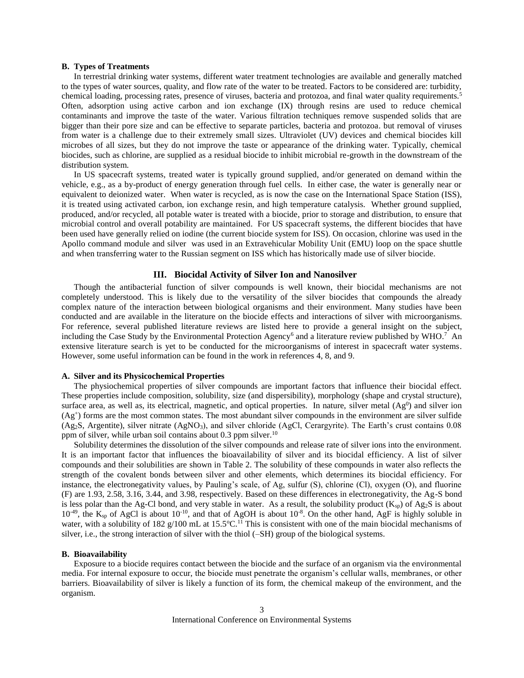## **B. Types of Treatments**

In terrestrial drinking water systems, different water treatment technologies are available and generally matched to the types of water sources, quality, and flow rate of the water to be treated. Factors to be considered are: turbidity, chemical loading, processing rates, presence of viruses, bacteria and protozoa, and final water quality requirements.<sup>5</sup> Often, adsorption using active carbon and ion exchange (IX) through resins are used to reduce chemical contaminants and improve the taste of the water. Various filtration techniques remove suspended solids that are bigger than their pore size and can be effective to separate particles, bacteria and protozoa. but removal of viruses from water is a challenge due to their extremely small sizes. Ultraviolet (UV) devices and chemical biocides kill microbes of all sizes, but they do not improve the taste or appearance of the drinking water. Typically, chemical biocides, such as chlorine, are supplied as a residual biocide to inhibit microbial re-growth in the downstream of the distribution system.

In US spacecraft systems, treated water is typically ground supplied, and/or generated on demand within the vehicle, e.g., as a by-product of energy generation through fuel cells. In either case, the water is generally near or equivalent to deionized water. When water is recycled, as is now the case on the International Space Station (ISS), it is treated using activated carbon, ion exchange resin, and high temperature catalysis. Whether ground supplied, produced, and/or recycled, all potable water is treated with a biocide, prior to storage and distribution, to ensure that microbial control and overall potability are maintained. For US spacecraft systems, the different biocides that have been used have generally relied on iodine (the current biocide system for ISS). On occasion, chlorine was used in the Apollo command module and silver was used in an Extravehicular Mobility Unit (EMU) loop on the space shuttle and when transferring water to the Russian segment on ISS which has historically made use of silver biocide.

## <span id="page-2-2"></span><span id="page-2-1"></span><span id="page-2-0"></span>**III. Biocidal Activity of Silver Ion and Nanosilver**

Though the antibacterial function of silver compounds is well known, their biocidal mechanisms are not completely understood. This is likely due to the versatility of the silver biocides that compounds the already complex nature of the interaction between biological organisms and their environment. Many studies have been conducted and are available in the literature on the biocide effects and interactions of silver with microorganisms. For reference, several published literature reviews are listed here to provide a general insight on the subject, including the Case Study by the Environmental Protection Agency<sup>6</sup> and a literature review published by WHO.<sup>7</sup> An extensive literature search is yet to be conducted for the microorganisms of interest in spacecraft water systems. However, some useful information can be found in the work in references [4,](#page-1-1) 8, and 9.

#### **A. Silver and its Physicochemical Properties**

The physiochemical properties of silver compounds are important factors that influence their biocidal effect. These properties include composition, solubility, size (and dispersibility), morphology (shape and crystal structure), surface area, as well as, its electrical, magnetic, and optical properties. In nature, silver metal  $(Ag^0)$  and silver ion  $(Ag<sup>+</sup>)$  forms are the most common states. The most abundant silver compounds in the environment are silver sulfide (Ag2S, Argentite), silver nitrate (AgNO3), and silver chloride (AgCl, Cerargyrite). The Earth's crust contains 0.08 ppm of silver, while urban soil contains about 0.3 ppm silver.<sup>10</sup>

Solubility determines the dissolution of the silver compounds and release rate of silver ions into the environment. It is an important factor that influences the bioavailability of silver and its biocidal efficiency. A list of silver compounds and their solubilities are shown in Table 2. The solubility of these compounds in water also reflects the strength of the covalent bonds between silver and other elements, which determines its biocidal efficiency. For instance, the electronegativity values, by Pauling's scale, of Ag, sulfur (S), chlorine (Cl), oxygen (O), and fluorine (F) are 1.93, 2.58, 3.16, 3.44, and 3.98, respectively. Based on these differences in electronegativity, the Ag-S bond is less polar than the Ag-Cl bond, and very stable in water. As a result, the solubility product  $(K_{sp})$  of Ag<sub>2</sub>S is about  $10^{-49}$ , the K<sub>sp</sub> of AgCl is about  $10^{-10}$ , and that of AgOH is about  $10^{-8}$ . On the other hand, AgF is highly soluble in water, with a solubility of 182 g/100 mL at 15.5°C.<sup>11</sup> This is consistent with one of the main biocidal mechanisms of silver, i.e., the strong interaction of silver with the thiol (–SH) group of the biological systems.

#### **B. Bioavailability**

Exposure to a biocide requires contact between the biocide and the surface of an organism via the environmental media. For internal exposure to occur, the biocide must penetrate the organism's cellular walls, membranes, or other barriers. Bioavailability of silver is likely a function of its form, the chemical makeup of the environment, and the organism.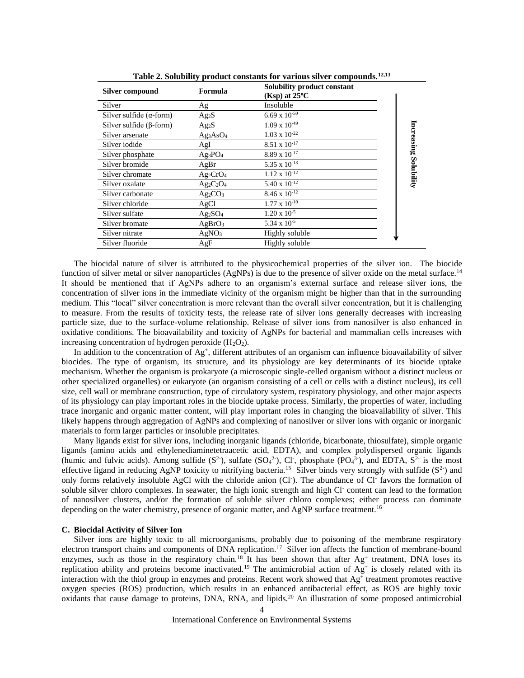|                                                                                                                                                                                                                                                                                                                                                                                                                                                                                                                                                                                                                                                                                                                                                                                                                                                                                                                                                                                                                                                                                                                                                                                                                                                                                                                                                                                                                                                                                                                                                                                                                                                                                                                                                                                                                                                                                                                                                                                                                                                                                                                                                                                                                                                                                                                                                                                                                                                                                                                                                                                                                                                                                                                                                                                                                                                                                                                                                                                                                                                                                                                                                 | <b>Silver compound</b>             | Formula                         | Solubility product constant<br>$(Ksp)$ at 25°C                                                                                                                                                                                                                                                                                                                                                                                                                                                                                                                                                                                                                                                                                                                                                                                                                                                       |                       |  |  |
|-------------------------------------------------------------------------------------------------------------------------------------------------------------------------------------------------------------------------------------------------------------------------------------------------------------------------------------------------------------------------------------------------------------------------------------------------------------------------------------------------------------------------------------------------------------------------------------------------------------------------------------------------------------------------------------------------------------------------------------------------------------------------------------------------------------------------------------------------------------------------------------------------------------------------------------------------------------------------------------------------------------------------------------------------------------------------------------------------------------------------------------------------------------------------------------------------------------------------------------------------------------------------------------------------------------------------------------------------------------------------------------------------------------------------------------------------------------------------------------------------------------------------------------------------------------------------------------------------------------------------------------------------------------------------------------------------------------------------------------------------------------------------------------------------------------------------------------------------------------------------------------------------------------------------------------------------------------------------------------------------------------------------------------------------------------------------------------------------------------------------------------------------------------------------------------------------------------------------------------------------------------------------------------------------------------------------------------------------------------------------------------------------------------------------------------------------------------------------------------------------------------------------------------------------------------------------------------------------------------------------------------------------------------------------------------------------------------------------------------------------------------------------------------------------------------------------------------------------------------------------------------------------------------------------------------------------------------------------------------------------------------------------------------------------------------------------------------------------------------------------------------------------|------------------------------------|---------------------------------|------------------------------------------------------------------------------------------------------------------------------------------------------------------------------------------------------------------------------------------------------------------------------------------------------------------------------------------------------------------------------------------------------------------------------------------------------------------------------------------------------------------------------------------------------------------------------------------------------------------------------------------------------------------------------------------------------------------------------------------------------------------------------------------------------------------------------------------------------------------------------------------------------|-----------------------|--|--|
|                                                                                                                                                                                                                                                                                                                                                                                                                                                                                                                                                                                                                                                                                                                                                                                                                                                                                                                                                                                                                                                                                                                                                                                                                                                                                                                                                                                                                                                                                                                                                                                                                                                                                                                                                                                                                                                                                                                                                                                                                                                                                                                                                                                                                                                                                                                                                                                                                                                                                                                                                                                                                                                                                                                                                                                                                                                                                                                                                                                                                                                                                                                                                 | Silver                             | Ag                              | Insoluble                                                                                                                                                                                                                                                                                                                                                                                                                                                                                                                                                                                                                                                                                                                                                                                                                                                                                            |                       |  |  |
|                                                                                                                                                                                                                                                                                                                                                                                                                                                                                                                                                                                                                                                                                                                                                                                                                                                                                                                                                                                                                                                                                                                                                                                                                                                                                                                                                                                                                                                                                                                                                                                                                                                                                                                                                                                                                                                                                                                                                                                                                                                                                                                                                                                                                                                                                                                                                                                                                                                                                                                                                                                                                                                                                                                                                                                                                                                                                                                                                                                                                                                                                                                                                 | Silver sulfide $(\alpha$ -form)    | $Ag_2S$                         | 6.69 x $10^{-50}$                                                                                                                                                                                                                                                                                                                                                                                                                                                                                                                                                                                                                                                                                                                                                                                                                                                                                    |                       |  |  |
|                                                                                                                                                                                                                                                                                                                                                                                                                                                                                                                                                                                                                                                                                                                                                                                                                                                                                                                                                                                                                                                                                                                                                                                                                                                                                                                                                                                                                                                                                                                                                                                                                                                                                                                                                                                                                                                                                                                                                                                                                                                                                                                                                                                                                                                                                                                                                                                                                                                                                                                                                                                                                                                                                                                                                                                                                                                                                                                                                                                                                                                                                                                                                 | Silver sulfide ( $\beta$ -form)    | Ag <sub>2</sub> S               | $1.09 \ge 10^{-49}$                                                                                                                                                                                                                                                                                                                                                                                                                                                                                                                                                                                                                                                                                                                                                                                                                                                                                  |                       |  |  |
|                                                                                                                                                                                                                                                                                                                                                                                                                                                                                                                                                                                                                                                                                                                                                                                                                                                                                                                                                                                                                                                                                                                                                                                                                                                                                                                                                                                                                                                                                                                                                                                                                                                                                                                                                                                                                                                                                                                                                                                                                                                                                                                                                                                                                                                                                                                                                                                                                                                                                                                                                                                                                                                                                                                                                                                                                                                                                                                                                                                                                                                                                                                                                 | Silver arsenate                    | Ag3AsO <sub>4</sub>             | $1.03 \ge 10^{-22}$                                                                                                                                                                                                                                                                                                                                                                                                                                                                                                                                                                                                                                                                                                                                                                                                                                                                                  | Increasing Solubility |  |  |
|                                                                                                                                                                                                                                                                                                                                                                                                                                                                                                                                                                                                                                                                                                                                                                                                                                                                                                                                                                                                                                                                                                                                                                                                                                                                                                                                                                                                                                                                                                                                                                                                                                                                                                                                                                                                                                                                                                                                                                                                                                                                                                                                                                                                                                                                                                                                                                                                                                                                                                                                                                                                                                                                                                                                                                                                                                                                                                                                                                                                                                                                                                                                                 | Silver iodide                      | AgI                             | $8.51 \times 10^{-17}$                                                                                                                                                                                                                                                                                                                                                                                                                                                                                                                                                                                                                                                                                                                                                                                                                                                                               |                       |  |  |
|                                                                                                                                                                                                                                                                                                                                                                                                                                                                                                                                                                                                                                                                                                                                                                                                                                                                                                                                                                                                                                                                                                                                                                                                                                                                                                                                                                                                                                                                                                                                                                                                                                                                                                                                                                                                                                                                                                                                                                                                                                                                                                                                                                                                                                                                                                                                                                                                                                                                                                                                                                                                                                                                                                                                                                                                                                                                                                                                                                                                                                                                                                                                                 | Silver phosphate                   | $Ag_3PO_4$                      | $8.89 \ge 10^{-17}$                                                                                                                                                                                                                                                                                                                                                                                                                                                                                                                                                                                                                                                                                                                                                                                                                                                                                  |                       |  |  |
|                                                                                                                                                                                                                                                                                                                                                                                                                                                                                                                                                                                                                                                                                                                                                                                                                                                                                                                                                                                                                                                                                                                                                                                                                                                                                                                                                                                                                                                                                                                                                                                                                                                                                                                                                                                                                                                                                                                                                                                                                                                                                                                                                                                                                                                                                                                                                                                                                                                                                                                                                                                                                                                                                                                                                                                                                                                                                                                                                                                                                                                                                                                                                 | Silver bromide                     | AgBr                            | $5.35 \times 10^{-13}$                                                                                                                                                                                                                                                                                                                                                                                                                                                                                                                                                                                                                                                                                                                                                                                                                                                                               |                       |  |  |
|                                                                                                                                                                                                                                                                                                                                                                                                                                                                                                                                                                                                                                                                                                                                                                                                                                                                                                                                                                                                                                                                                                                                                                                                                                                                                                                                                                                                                                                                                                                                                                                                                                                                                                                                                                                                                                                                                                                                                                                                                                                                                                                                                                                                                                                                                                                                                                                                                                                                                                                                                                                                                                                                                                                                                                                                                                                                                                                                                                                                                                                                                                                                                 | Silver chromate                    | $Ag_2CrO_4$                     | $1.12 \times 10^{-12}$                                                                                                                                                                                                                                                                                                                                                                                                                                                                                                                                                                                                                                                                                                                                                                                                                                                                               |                       |  |  |
|                                                                                                                                                                                                                                                                                                                                                                                                                                                                                                                                                                                                                                                                                                                                                                                                                                                                                                                                                                                                                                                                                                                                                                                                                                                                                                                                                                                                                                                                                                                                                                                                                                                                                                                                                                                                                                                                                                                                                                                                                                                                                                                                                                                                                                                                                                                                                                                                                                                                                                                                                                                                                                                                                                                                                                                                                                                                                                                                                                                                                                                                                                                                                 | Silver oxalate                     | $Ag_2C_2O_4$                    | $5.40 \times 10^{-12}$                                                                                                                                                                                                                                                                                                                                                                                                                                                                                                                                                                                                                                                                                                                                                                                                                                                                               |                       |  |  |
|                                                                                                                                                                                                                                                                                                                                                                                                                                                                                                                                                                                                                                                                                                                                                                                                                                                                                                                                                                                                                                                                                                                                                                                                                                                                                                                                                                                                                                                                                                                                                                                                                                                                                                                                                                                                                                                                                                                                                                                                                                                                                                                                                                                                                                                                                                                                                                                                                                                                                                                                                                                                                                                                                                                                                                                                                                                                                                                                                                                                                                                                                                                                                 | Silver carbonate                   | Ag <sub>2</sub> CO <sub>3</sub> | $8.46\ \mathrm{x}\ 10^{\text{-}12}$                                                                                                                                                                                                                                                                                                                                                                                                                                                                                                                                                                                                                                                                                                                                                                                                                                                                  |                       |  |  |
|                                                                                                                                                                                                                                                                                                                                                                                                                                                                                                                                                                                                                                                                                                                                                                                                                                                                                                                                                                                                                                                                                                                                                                                                                                                                                                                                                                                                                                                                                                                                                                                                                                                                                                                                                                                                                                                                                                                                                                                                                                                                                                                                                                                                                                                                                                                                                                                                                                                                                                                                                                                                                                                                                                                                                                                                                                                                                                                                                                                                                                                                                                                                                 | Silver chloride                    | AgCl                            | $1.77 \times 10^{-10}$                                                                                                                                                                                                                                                                                                                                                                                                                                                                                                                                                                                                                                                                                                                                                                                                                                                                               |                       |  |  |
|                                                                                                                                                                                                                                                                                                                                                                                                                                                                                                                                                                                                                                                                                                                                                                                                                                                                                                                                                                                                                                                                                                                                                                                                                                                                                                                                                                                                                                                                                                                                                                                                                                                                                                                                                                                                                                                                                                                                                                                                                                                                                                                                                                                                                                                                                                                                                                                                                                                                                                                                                                                                                                                                                                                                                                                                                                                                                                                                                                                                                                                                                                                                                 | Silver sulfate                     | $Ag_2SO_4$                      | $1.20 \times 10^{-5}$                                                                                                                                                                                                                                                                                                                                                                                                                                                                                                                                                                                                                                                                                                                                                                                                                                                                                |                       |  |  |
|                                                                                                                                                                                                                                                                                                                                                                                                                                                                                                                                                                                                                                                                                                                                                                                                                                                                                                                                                                                                                                                                                                                                                                                                                                                                                                                                                                                                                                                                                                                                                                                                                                                                                                                                                                                                                                                                                                                                                                                                                                                                                                                                                                                                                                                                                                                                                                                                                                                                                                                                                                                                                                                                                                                                                                                                                                                                                                                                                                                                                                                                                                                                                 | Silver bromate                     | AgBrO <sub>3</sub>              | $5.34 \times 10^{-5}$                                                                                                                                                                                                                                                                                                                                                                                                                                                                                                                                                                                                                                                                                                                                                                                                                                                                                |                       |  |  |
|                                                                                                                                                                                                                                                                                                                                                                                                                                                                                                                                                                                                                                                                                                                                                                                                                                                                                                                                                                                                                                                                                                                                                                                                                                                                                                                                                                                                                                                                                                                                                                                                                                                                                                                                                                                                                                                                                                                                                                                                                                                                                                                                                                                                                                                                                                                                                                                                                                                                                                                                                                                                                                                                                                                                                                                                                                                                                                                                                                                                                                                                                                                                                 | Silver nitrate                     | AgNO <sub>3</sub>               | Highly soluble                                                                                                                                                                                                                                                                                                                                                                                                                                                                                                                                                                                                                                                                                                                                                                                                                                                                                       |                       |  |  |
|                                                                                                                                                                                                                                                                                                                                                                                                                                                                                                                                                                                                                                                                                                                                                                                                                                                                                                                                                                                                                                                                                                                                                                                                                                                                                                                                                                                                                                                                                                                                                                                                                                                                                                                                                                                                                                                                                                                                                                                                                                                                                                                                                                                                                                                                                                                                                                                                                                                                                                                                                                                                                                                                                                                                                                                                                                                                                                                                                                                                                                                                                                                                                 | Silver fluoride                    | AgF                             | Highly soluble                                                                                                                                                                                                                                                                                                                                                                                                                                                                                                                                                                                                                                                                                                                                                                                                                                                                                       |                       |  |  |
| The biocidal nature of silver is attributed to the physicochemical properties of the silver ion. The biocide<br>function of silver metal or silver nanoparticles (AgNPs) is due to the presence of silver oxide on the metal surface. <sup>14</sup><br>It should be mentioned that if AgNPs adhere to an organism's external surface and release silver ions, the<br>concentration of silver ions in the immediate vicinity of the organism might be higher than that in the surrounding<br>medium. This "local" silver concentration is more relevant than the overall silver concentration, but it is challenging<br>to measure. From the results of toxicity tests, the release rate of silver ions generally decreases with increasing<br>particle size, due to the surface-volume relationship. Release of silver ions from nanosilver is also enhanced in<br>oxidative conditions. The bioavailability and toxicity of AgNPs for bacterial and mammalian cells increases with<br>increasing concentration of hydrogen peroxide $(H_2O_2)$ .<br>In addition to the concentration of $Ag^+$ , different attributes of an organism can influence bioavailability of silver<br>biocides. The type of organism, its structure, and its physiology are key determinants of its biocide uptake<br>mechanism. Whether the organism is prokaryote (a microscopic single-celled organism without a distinct nucleus or<br>other specialized organelles) or eukaryote (an organism consisting of a cell or cells with a distinct nucleus), its cell<br>size, cell wall or membrane construction, type of circulatory system, respiratory physiology, and other major aspects<br>of its physiology can play important roles in the biocide uptake process. Similarly, the properties of water, including<br>trace inorganic and organic matter content, will play important roles in changing the bioavailability of silver. This<br>likely happens through aggregation of AgNPs and complexing of nanosilver or silver ions with organic or inorganic<br>materials to form larger particles or insoluble precipitates.<br>Many ligands exist for silver ions, including inorganic ligands (chloride, bicarbonate, thiosulfate), simple organic<br>ligands (amino acids and ethylenediaminetetraacetic acid, EDTA), and complex polydispersed organic ligands<br>(humic and fulvic acids). Among sulfide ( $S^2$ ), sulfate ( $SO_4^2$ ), Cl, phosphate ( $PO_4^3$ ), and EDTA, $S^2$ is the most<br>effective ligand in reducing AgNP toxicity to nitrifying bacteria. <sup>15</sup> Silver binds very strongly with sulfide $(S^2)$ and<br>only forms relatively insoluble AgCl with the chloride anion (Cl <sup>-</sup> ). The abundance of Cl <sup>-</sup> favors the formation of<br>soluble silver chloro complexes. In seawater, the high ionic strength and high Cl <sup>-</sup> content can lead to the formation<br>of nanosilver clusters, and/or the formation of soluble silver chloro complexes; either process can dominate<br>depending on the water chemistry, presence of organic matter, and AgNP surface treatment. <sup>16</sup> |                                    |                                 |                                                                                                                                                                                                                                                                                                                                                                                                                                                                                                                                                                                                                                                                                                                                                                                                                                                                                                      |                       |  |  |
|                                                                                                                                                                                                                                                                                                                                                                                                                                                                                                                                                                                                                                                                                                                                                                                                                                                                                                                                                                                                                                                                                                                                                                                                                                                                                                                                                                                                                                                                                                                                                                                                                                                                                                                                                                                                                                                                                                                                                                                                                                                                                                                                                                                                                                                                                                                                                                                                                                                                                                                                                                                                                                                                                                                                                                                                                                                                                                                                                                                                                                                                                                                                                 | C. Biocidal Activity of Silver Ion |                                 | Silver ions are highly toxic to all microorganisms, probably due to poisoning of the membrane respiratory<br>electron transport chains and components of DNA replication. <sup>17</sup> Silver ion affects the function of membrane-bound<br>enzymes, such as those in the respiratory chain. <sup>18</sup> It has been shown that after $Ag^+$ treatment, DNA loses its<br>replication ability and proteins become inactivated. <sup>19</sup> The antimicrobial action of Ag <sup>+</sup> is closely related with its<br>interaction with the thiol group in enzymes and proteins. Recent work showed that Ag <sup>+</sup> treatment promotes reactive<br>oxygen species (ROS) production, which results in an enhanced antibacterial effect, as ROS are highly toxic<br>oxidants that cause damage to proteins, DNA, RNA, and lipids. <sup>20</sup> An illustration of some proposed antimicrobial |                       |  |  |

<span id="page-3-0"></span>**Table 2. Solubility product constants for various silver compounds.12,13**

#### **C. Biocidal Activity of Silver Ion**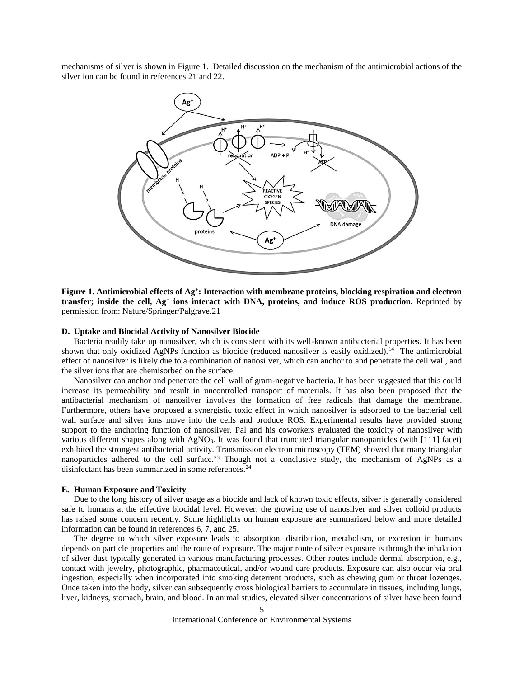mechanisms of silver is shown in [Figure 1.](#page-4-0) Detailed discussion on the mechanism of the antimicrobial actions of the silver ion can be found in references 21 and 22.

<span id="page-4-1"></span>

<span id="page-4-0"></span>**Figure 1. Antimicrobial effects of Ag<sup>+</sup> : Interaction with membrane proteins, blocking respiration and electron transfer; inside the cell, Ag<sup>+</sup> ions interact with DNA, proteins, and induce ROS production.** Reprinted by permission from: Nature/Springer/Palgrave[.21](#page-4-1)

#### **D. Uptake and Biocidal Activity of Nanosilver Biocide**

Bacteria readily take up nanosilver, which is consistent with its well-known antibacterial properties. It has been shown that only oxidized AgNPs function as biocide (reduced nanosilver is easily oxidized).<sup>[14](#page-3-0)</sup> The antimicrobial effect of nanosilver is likely due to a combination of nanosilver, which can anchor to and penetrate the cell wall, and the silver ions that are chemisorbed on the surface.

Nanosilver can anchor and penetrate the cell wall of gram-negative bacteria. It has been suggested that this could increase its permeability and result in uncontrolled transport of materials. It has also been proposed that the antibacterial mechanism of nanosilver involves the formation of free radicals that damage the membrane. Furthermore, others have proposed a synergistic toxic effect in which nanosilver is adsorbed to the bacterial cell wall surface and silver ions move into the cells and produce ROS. Experimental results have provided strong support to the anchoring function of nanosilver. Pal and his coworkers evaluated the toxicity of nanosilver with various different shapes along with AgNO<sub>3</sub>. It was found that truncated triangular nanoparticles (with [111] facet) exhibited the strongest antibacterial activity. Transmission electron microscopy (TEM) showed that many triangular nanoparticles adhered to the cell surface.<sup>23</sup> Though not a conclusive study, the mechanism of AgNPs as a disinfectant has been summarized in some references.<sup>24</sup>

#### **E. Human Exposure and Toxicity**

Due to the long history of silver usage as a biocide and lack of known toxic effects, silver is generally considered safe to humans at the effective biocidal level. However, the growing use of nanosilver and silver colloid products has raised some concern recently. Some highlights on human exposure are summarized below and more detailed information can be found in reference[s 6,](#page-2-0) [7,](#page-2-1) and 25.

<span id="page-4-2"></span>The degree to which silver exposure leads to absorption, distribution, metabolism, or excretion in humans depends on particle properties and the route of exposure. The major route of silver exposure is through the inhalation of silver dust typically generated in various manufacturing processes. Other routes include dermal absorption, e.g., contact with jewelry, photographic, pharmaceutical, and/or wound care products. Exposure can also occur via oral ingestion, especially when incorporated into smoking deterrent products, such as chewing gum or throat lozenges. Once taken into the body, silver can subsequently cross biological barriers to accumulate in tissues, including lungs, liver, kidneys, stomach, brain, and blood. In animal studies, elevated silver concentrations of silver have been found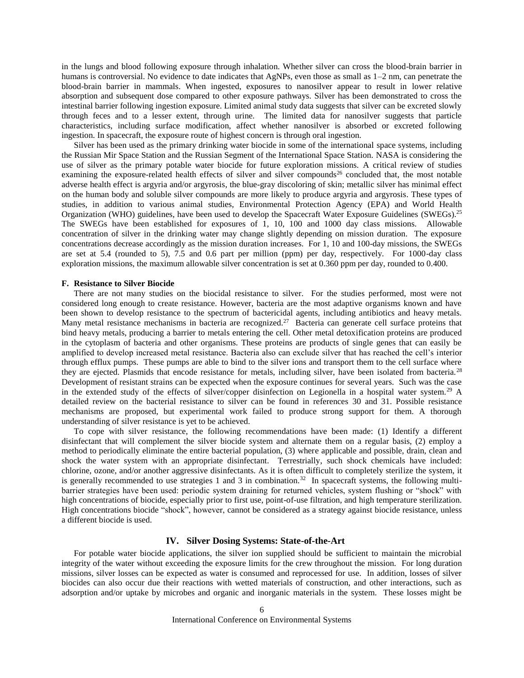in the lungs and blood following exposure through inhalation. Whether silver can cross the blood-brain barrier in humans is controversial. No evidence to date indicates that AgNPs, even those as small as  $1-2$  nm, can penetrate the blood-brain barrier in mammals. When ingested, exposures to nanosilver appear to result in lower relative absorption and subsequent dose compared to other exposure pathways. Silver has been demonstrated to cross the intestinal barrier following ingestion exposure. Limited animal study data suggests that silver can be excreted slowly through feces and to a lesser extent, through urine. The limited data for nanosilver suggests that particle characteristics, including surface modification, affect whether nanosilver is absorbed or excreted following ingestion. In spacecraft, the exposure route of highest concern is through oral ingestion.

Silver has been used as the primary drinking water biocide in some of the international space systems, including the Russian Mir Space Station and the Russian Segment of the International Space Station. NASA is considering the use of silver as the primary potable water biocide for future exploration missions. A critical review of studies examining the exposure-related health effects of silver and silver compounds<sup>26</sup> concluded that, the most notable adverse health effect is argyria and/or argyrosis, the blue-gray discoloring of skin; metallic silver has minimal effect on the human body and soluble silver compounds are more likely to produce argyria and argyrosis. These types of studies, in addition to various animal studies, Environmental Protection Agency (EPA) and World Health Organization (WHO) guidelines, have been used to develop the Spacecraft Water Exposure Guidelines (SWEGs).<sup>[25](#page-4-2)</sup> The SWEGs have been established for exposures of 1, 10, 100 and 1000 day class missions. Allowable concentration of silver in the drinking water may change slightly depending on mission duration. The exposure concentrations decrease accordingly as the mission duration increases. For 1, 10 and 100-day missions, the SWEGs are set at 5.4 (rounded to 5), 7.5 and 0.6 part per million (ppm) per day, respectively. For 1000-day class exploration missions, the maximum allowable silver concentration is set at 0.360 ppm per day, rounded to 0.400.

# **F. Resistance to Silver Biocide**

There are not many studies on the biocidal resistance to silver. For the studies performed, most were not considered long enough to create resistance. However, bacteria are the most adaptive organisms known and have been shown to develop resistance to the spectrum of bactericidal agents, including antibiotics and heavy metals. Many metal resistance mechanisms in bacteria are recognized.<sup>27</sup> Bacteria can generate cell surface proteins that bind heavy metals, producing a barrier to metals entering the cell. Other metal detoxification proteins are produced in the cytoplasm of bacteria and other organisms. These proteins are products of single genes that can easily be amplified to develop increased metal resistance. Bacteria also can exclude silver that has reached the cell's interior through efflux pumps. These pumps are able to bind to the silver ions and transport them to the cell surface where they are ejected. Plasmids that encode resistance for metals, including silver, have been isolated from bacteria.<sup>28</sup> Development of resistant strains can be expected when the exposure continues for several years. Such was the case in the extended study of the effects of silver/copper disinfection on Legionella in a hospital water system.<sup>29</sup> A detailed review on the bacterial resistance to silver can be found in references 30 and 31. Possible resistance mechanisms are proposed, but experimental work failed to produce strong support for them. A thorough understanding of silver resistance is yet to be achieved.

To cope with silver resistance, the following recommendations have been made: (1) Identify a different disinfectant that will complement the silver biocide system and alternate them on a regular basis, (2) employ a method to periodically eliminate the entire bacterial population, (3) where applicable and possible, drain, clean and shock the water system with an appropriate disinfectant. Terrestrially, such shock chemicals have included: chlorine, ozone, and/or another aggressive disinfectants. As it is often difficult to completely sterilize the system, it is generally recommended to use strategies 1 and 3 in combination.<sup>32</sup> In spacecraft systems, the following multibarrier strategies have been used: periodic system draining for returned vehicles, system flushing or "shock" with high concentrations of biocide, especially prior to first use, point-of-use filtration, and high temperature sterilization. High concentrations biocide "shock", however, cannot be considered as a strategy against biocide resistance, unless a different biocide is used.

# **IV. Silver Dosing Systems: State-of-the-Art**

For potable water biocide applications, the silver ion supplied should be sufficient to maintain the microbial integrity of the water without exceeding the exposure limits for the crew throughout the mission. For long duration missions, silver losses can be expected as water is consumed and reprocessed for use. In addition, losses of silver biocides can also occur due their reactions with wetted materials of construction, and other interactions, such as adsorption and/or uptake by microbes and organic and inorganic materials in the system. These losses might be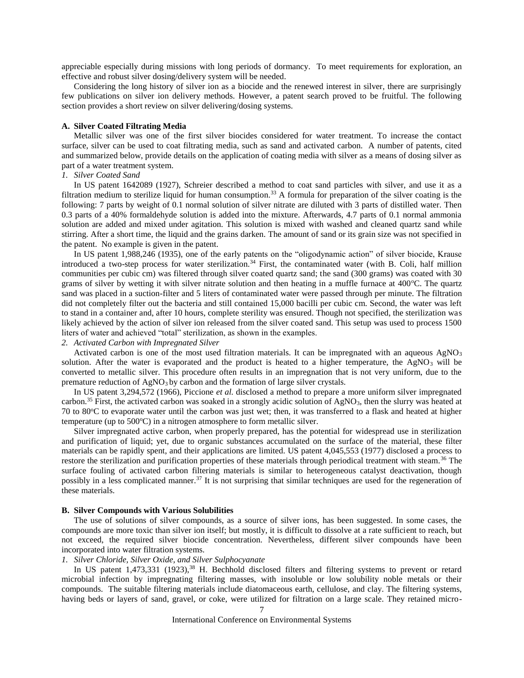appreciable especially during missions with long periods of dormancy. To meet requirements for exploration, an effective and robust silver dosing/delivery system will be needed.

Considering the long history of silver ion as a biocide and the renewed interest in silver, there are surprisingly few publications on silver ion delivery methods. However, a patent search proved to be fruitful. The following section provides a short review on silver delivering/dosing systems.

#### **A. Silver Coated Filtrating Media**

Metallic silver was one of the first silver biocides considered for water treatment. To increase the contact surface, silver can be used to coat filtrating media, such as sand and activated carbon. A number of patents, cited and summarized below, provide details on the application of coating media with silver as a means of dosing silver as part of a water treatment system.

# *1. Silver Coated Sand*

In US patent 1642089 (1927), Schreier described a method to coat sand particles with silver, and use it as a filtration medium to sterilize liquid for human consumption.<sup>33</sup> A formula for preparation of the silver coating is the following: 7 parts by weight of 0.1 normal solution of silver nitrate are diluted with 3 parts of distilled water. Then 0.3 parts of a 40% formaldehyde solution is added into the mixture. Afterwards, 4.7 parts of 0.1 normal ammonia solution are added and mixed under agitation. This solution is mixed with washed and cleaned quartz sand while stirring. After a short time, the liquid and the grains darken. The amount of sand or its grain size was not specified in the patent. No example is given in the patent.

In US patent 1,988,246 (1935), one of the early patents on the "oligodynamic action" of silver biocide, Krause introduced a two-step process for water sterilization.<sup>34</sup> First, the contaminated water (with B. Coli, half million communities per cubic cm) was filtered through silver coated quartz sand; the sand (300 grams) was coated with 30 grams of silver by wetting it with silver nitrate solution and then heating in a muffle furnace at  $400^{\circ}$ C. The quartz sand was placed in a suction-filter and 5 liters of contaminated water were passed through per minute. The filtration did not completely filter out the bacteria and still contained 15,000 bacilli per cubic cm. Second, the water was left to stand in a container and, after 10 hours, complete sterility was ensured. Though not specified, the sterilization was likely achieved by the action of silver ion released from the silver coated sand. This setup was used to process 1500 liters of water and achieved "total" sterilization, as shown in the examples.

#### *2. Activated Carbon with Impregnated Silver*

Activated carbon is one of the most used filtration materials. It can be impregnated with an aqueous  $AgNO<sub>3</sub>$ solution. After the water is evaporated and the product is heated to a higher temperature, the  $AgNO<sub>3</sub>$  will be converted to metallic silver. This procedure often results in an impregnation that is not very uniform, due to the premature reduction of  $AgNO<sub>3</sub>$  by carbon and the formation of large silver crystals.

In US patent 3,294,572 (1966), Piccione *et al.* disclosed a method to prepare a more uniform silver impregnated carbon.<sup>35</sup> First, the activated carbon was soaked in a strongly acidic solution of AgNO<sub>3</sub>, then the slurry was heated at  $70$  to  $80^{\circ}$ C to evaporate water until the carbon was just wet; then, it was transferred to a flask and heated at higher temperature (up to  $500^{\circ}$ C) in a nitrogen atmosphere to form metallic silver.

Silver impregnated active carbon, when properly prepared, has the potential for widespread use in sterilization and purification of liquid; yet, due to organic substances accumulated on the surface of the material, these filter materials can be rapidly spent, and their applications are limited. US patent 4,045,553 (1977) disclosed a process to restore the sterilization and purification properties of these materials through periodical treatment with steam.<sup>36</sup> The surface fouling of activated carbon filtering materials is similar to heterogeneous catalyst deactivation, though possibly in a less complicated manner.<sup>37</sup> It is not surprising that similar techniques are used for the regeneration of these materials.

#### **B. Silver Compounds with Various Solubilities**

The use of solutions of silver compounds, as a source of silver ions, has been suggested. In some cases, the compounds are more toxic than silver ion itself; but mostly, it is difficult to dissolve at a rate sufficient to reach, but not exceed, the required silver biocide concentration. Nevertheless, different silver compounds have been incorporated into water filtration systems.

# *1. Silver Chloride, Silver Oxide, and Silver Sulphocyanate*

In US patent  $1,473,331$  (1923),<sup>38</sup> H. Bechhold disclosed filters and filtering systems to prevent or retard microbial infection by impregnating filtering masses, with insoluble or low solubility noble metals or their compounds. The suitable filtering materials include diatomaceous earth, cellulose, and clay. The filtering systems, having beds or layers of sand, gravel, or coke, were utilized for filtration on a large scale. They retained micro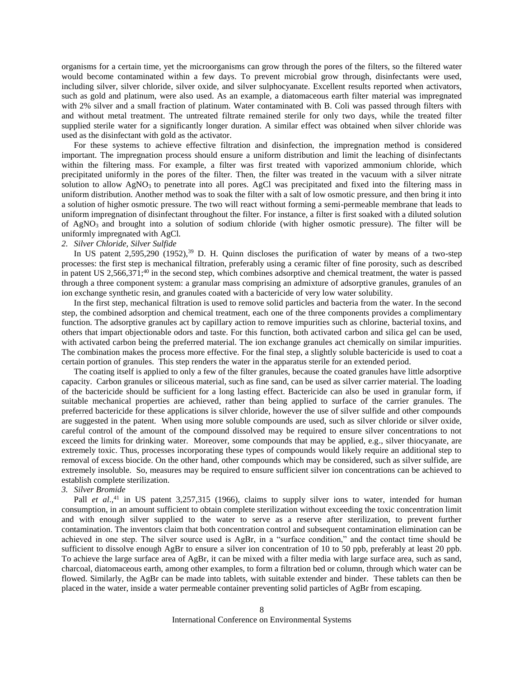organisms for a certain time, yet the microorganisms can grow through the pores of the filters, so the filtered water would become contaminated within a few days. To prevent microbial grow through, disinfectants were used, including silver, silver chloride, silver oxide, and silver sulphocyanate. Excellent results reported when activators, such as gold and platinum, were also used. As an example, a diatomaceous earth filter material was impregnated with 2% silver and a small fraction of platinum. Water contaminated with B. Coli was passed through filters with and without metal treatment. The untreated filtrate remained sterile for only two days, while the treated filter supplied sterile water for a significantly longer duration. A similar effect was obtained when silver chloride was used as the disinfectant with gold as the activator.

For these systems to achieve effective filtration and disinfection, the impregnation method is considered important. The impregnation process should ensure a uniform distribution and limit the leaching of disinfectants within the filtering mass. For example, a filter was first treated with vaporized ammonium chloride, which precipitated uniformly in the pores of the filter. Then, the filter was treated in the vacuum with a silver nitrate solution to allow  $AgNO<sub>3</sub>$  to penetrate into all pores. AgCl was precipitated and fixed into the filtering mass in uniform distribution. Another method was to soak the filter with a salt of low osmotic pressure, and then bring it into a solution of higher osmotic pressure. The two will react without forming a semi-permeable membrane that leads to uniform impregnation of disinfectant throughout the filter. For instance, a filter is first soaked with a diluted solution of  $AgNO<sub>3</sub>$  and brought into a solution of sodium chloride (with higher osmotic pressure). The filter will be uniformly impregnated with AgCl.

## *2. Silver Chloride, Silver Sulfide*

In US patent  $2,595,290$  (1952),<sup>39</sup> D. H. Quinn discloses the purification of water by means of a two-step processes: the first step is mechanical filtration, preferably using a ceramic filter of fine porosity, such as described in patent US 2,566,371;<sup>40</sup> in the second step, which combines adsorptive and chemical treatment, the water is passed through a three component system: a granular mass comprising an admixture of adsorptive granules, granules of an ion exchange synthetic resin, and granules coated with a bactericide of very low water solubility.

In the first step, mechanical filtration is used to remove solid particles and bacteria from the water. In the second step, the combined adsorption and chemical treatment, each one of the three components provides a complimentary function. The adsorptive granules act by capillary action to remove impurities such as chlorine, bacterial toxins, and others that impart objectionable odors and taste. For this function, both activated carbon and silica gel can be used, with activated carbon being the preferred material. The ion exchange granules act chemically on similar impurities. The combination makes the process more effective. For the final step, a slightly soluble bactericide is used to coat a certain portion of granules. This step renders the water in the apparatus sterile for an extended period.

The coating itself is applied to only a few of the filter granules, because the coated granules have little adsorptive capacity. Carbon granules or siliceous material, such as fine sand, can be used as silver carrier material. The loading of the bactericide should be sufficient for a long lasting effect. Bactericide can also be used in granular form, if suitable mechanical properties are achieved, rather than being applied to surface of the carrier granules. The preferred bactericide for these applications is silver chloride, however the use of silver sulfide and other compounds are suggested in the patent. When using more soluble compounds are used, such as silver chloride or silver oxide, careful control of the amount of the compound dissolved may be required to ensure silver concentrations to not exceed the limits for drinking water. Moreover, some compounds that may be applied, e.g., silver thiocyanate, are extremely toxic. Thus, processes incorporating these types of compounds would likely require an additional step to removal of excess biocide. On the other hand, other compounds which may be considered, such as silver sulfide, are extremely insoluble. So, measures may be required to ensure sufficient silver ion concentrations can be achieved to establish complete sterilization.

# *3. Silver Bromide*

Pall *et al.*,<sup>41</sup> in US patent 3,257,315 (1966), claims to supply silver ions to water, intended for human consumption, in an amount sufficient to obtain complete sterilization without exceeding the toxic concentration limit and with enough silver supplied to the water to serve as a reserve after sterilization, to prevent further contamination. The inventors claim that both concentration control and subsequent contamination elimination can be achieved in one step. The silver source used is AgBr, in a "surface condition," and the contact time should be sufficient to dissolve enough AgBr to ensure a silver ion concentration of 10 to 50 ppb, preferably at least 20 ppb. To achieve the large surface area of AgBr, it can be mixed with a filter media with large surface area, such as sand, charcoal, diatomaceous earth, among other examples, to form a filtration bed or column, through which water can be flowed. Similarly, the AgBr can be made into tablets, with suitable extender and binder. These tablets can then be placed in the water, inside a water permeable container preventing solid particles of AgBr from escaping.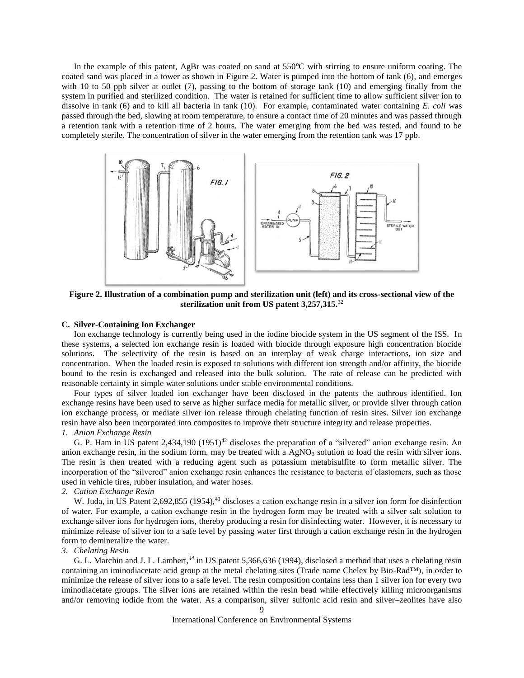In the example of this patent, AgBr was coated on sand at 550°C with stirring to ensure uniform coating. The coated sand was placed in a tower as shown in [Figure 2.](#page-8-0) Water is pumped into the bottom of tank (6), and emerges with 10 to 50 ppb silver at outlet (7), passing to the bottom of storage tank (10) and emerging finally from the system in purified and sterilized condition. The water is retained for sufficient time to allow sufficient silver ion to dissolve in tank (6) and to kill all bacteria in tank (10). For example, contaminated water containing *E. coli* was passed through the bed, slowing at room temperature, to ensure a contact time of 20 minutes and was passed through a retention tank with a retention time of 2 hours. The water emerging from the bed was tested, and found to be completely sterile. The concentration of silver in the water emerging from the retention tank was 17 ppb.



<span id="page-8-0"></span>**Figure 2. Illustration of a combination pump and sterilization unit (left) and its cross-sectional view of the sterilization unit from US patent 3,257,315.**<sup>32</sup>

# **C. Silver-Containing Ion Exchanger**

Ion exchange technology is currently being used in the iodine biocide system in the US segment of the ISS. In these systems, a selected ion exchange resin is loaded with biocide through exposure high concentration biocide solutions. The selectivity of the resin is based on an interplay of weak charge interactions, ion size and concentration. When the loaded resin is exposed to solutions with different ion strength and/or affinity, the biocide bound to the resin is exchanged and released into the bulk solution. The rate of release can be predicted with reasonable certainty in simple water solutions under stable environmental conditions.

Four types of silver loaded ion exchanger have been disclosed in the patents the authrous identified. Ion exchange resins have been used to serve as higher surface media for metallic silver, or provide silver through cation ion exchange process, or mediate silver ion release through chelating function of resin sites. Silver ion exchange resin have also been incorporated into composites to improve their structure integrity and release properties.

# *1. Anion Exchange Resin*

G. P. Ham in US patent  $2,434,190$  (1951)<sup>42</sup> discloses the preparation of a "silvered" anion exchange resin. An anion exchange resin, in the sodium form, may be treated with a  $AgNO<sub>3</sub>$  solution to load the resin with silver ions. The resin is then treated with a reducing agent such as potassium metabisulfite to form metallic silver. The incorporation of the "silvered" anion exchange resin enhances the resistance to bacteria of elastomers, such as those used in vehicle tires, rubber insulation, and water hoses.

#### *2. Cation Exchange Resin*

W. Juda, in US Patent 2,692,855 (1954), $43$  discloses a cation exchange resin in a silver ion form for disinfection of water. For example, a cation exchange resin in the hydrogen form may be treated with a silver salt solution to exchange silver ions for hydrogen ions, thereby producing a resin for disinfecting water. However, it is necessary to minimize release of silver ion to a safe level by passing water first through a cation exchange resin in the hydrogen form to demineralize the water.

## *3. Chelating Resin*

G. L. Marchin and J. L. Lambert,*<sup>44</sup>* in US patent 5,366,636 (1994), disclosed a method that uses a chelating resin containing an iminodiacetate acid group at the metal chelating sites (Trade name Chelex by Bio-Rad™), in order to minimize the release of silver ions to a safe level. The resin composition contains less than 1 silver ion for every two iminodiacetate groups. The silver ions are retained within the resin bead while effectively killing microorganisms and/or removing iodide from the water. As a comparison, silver sulfonic acid resin and silver–zeolites have also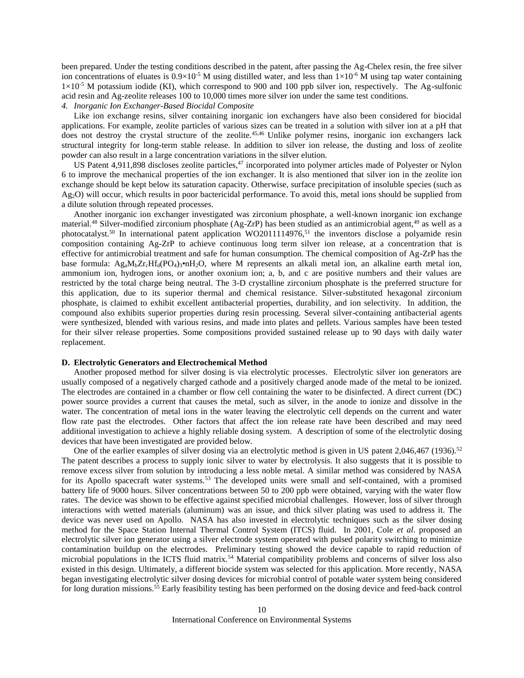been prepared. Under the testing conditions described in the patent, after passing the Ag-Chelex resin, the free silver ion concentrations of eluates is  $0.9\times10^{-5}$  M using distilled water, and less than  $1\times10^{-6}$  M using tap water containing  $1\times10^{-5}$  M potassium iodide (KI), which correspond to 900 and 100 ppb silver ion, respectively. The Ag-sulfonic acid resin and Ag-zeolite releases 100 to 10,000 times more silver ion under the same test conditions.

# *4. Inorganic Ion Exchanger-Based Biocidal Composite*

Like ion exchange resins, silver containing inorganic ion exchangers have also been considered for biocidal applications. For example, zeolite particles of various sizes can be treated in a solution with silver ion at a pH that does not destroy the crystal structure of the zeolite.<sup>45,46</sup> Unlike polymer resins, inorganic ion exchangers lack structural integrity for long-term stable release. In addition to silver ion release, the dusting and loss of zeolite powder can also result in a large concentration variations in the silver elution.

US Patent 4,911,898 discloses zeolite particles,<sup>47</sup> incorporated into polymer articles made of Polyester or Nylon 6 to improve the mechanical properties of the ion exchanger. It is also mentioned that silver ion in the zeolite ion exchange should be kept below its saturation capacity. Otherwise, surface precipitation of insoluble species (such as Ag2O) will occur, which results in poor bactericidal performance. To avoid this, metal ions should be supplied from a dilute solution through repeated processes.

Another inorganic ion exchanger investigated was zirconium phosphate, a well-known inorganic ion exchange material.<sup>48</sup> Silver-modified zirconium phosphate (Ag-ZrP) has been studied as an antimicrobial agent,<sup>49</sup> as well as a photocatalyst.<sup>50</sup> In international patent application WO2011114976,<sup>51</sup> the inventors disclose a polyamide resin composition containing Ag-ZrP to achieve continuous long term silver ion release, at a concentration that is effective for antimicrobial treatment and safe for human consumption. The chemical composition of Ag-ZrP has the base formula:  $Ag_aM_bZr_cHf_d(PO_4)$ <sub>3</sub>•nH<sub>2</sub>O, where M represents an alkali metal ion, an alkaline earth metal ion, ammonium ion, hydrogen ions, or another oxonium ion; a, b, and c are positive numbers and their values are restricted by the total charge being neutral. The 3-D crystalline zirconium phosphate is the preferred structure for this application, due to its superior thermal and chemical resistance. Silver-substituted hexagonal zirconium phosphate, is claimed to exhibit excellent antibacterial properties, durability, and ion selectivity. In addition, the compound also exhibits superior properties during resin processing. Several silver-containing antibacterial agents were synthesized, blended with various resins, and made into plates and pellets. Various samples have been tested for their silver release properties. Some compositions provided sustained release up to 90 days with daily water replacement.

# **D. Electrolytic Generators and Electrochemical Method**

Another proposed method for silver dosing is via electrolytic processes. Electrolytic silver ion generators are usually composed of a negatively charged cathode and a positively charged anode made of the metal to be ionized. The electrodes are contained in a chamber or flow cell containing the water to be disinfected. A direct current (DC) power source provides a current that causes the metal, such as silver, in the anode to ionize and dissolve in the water. The concentration of metal ions in the water leaving the electrolytic cell depends on the current and water flow rate past the electrodes. Other factors that affect the ion release rate have been described and may need additional investigation to achieve a highly reliable dosing system. A description of some of the electrolytic dosing devices that have been investigated are provided below.

One of the earlier examples of silver dosing via an electrolytic method is given in US patent 2,046,467 (1936).<sup>52</sup> The patent describes a process to supply ionic silver to water by electrolysis. It also suggests that it is possible to remove excess silver from solution by introducing a less noble metal. A similar method was considered by NASA for its Apollo spacecraft water systems.<sup>53</sup> The developed units were small and self-contained, with a promised battery life of 9000 hours. Silver concentrations between 50 to 200 ppb were obtained, varying with the water flow rates. The device was shown to be effective against specified microbial challenges. However, loss of silver through interactions with wetted materials (aluminum) was an issue, and thick silver plating was used to address it. The device was never used on Apollo. NASA has also invested in electrolytic techniques such as the silver dosing method for the Space Station Internal Thermal Control System (ITCS) fluid. In 2001, Cole *et al*. proposed an electrolytic silver ion generator using a silver electrode system operated with pulsed polarity switching to minimize contamination buildup on the electrodes. Preliminary testing showed the device capable to rapid reduction of microbial populations in the ICTS fluid matrix.<sup>54</sup> Material compatibility problems and concerns of silver loss also existed in this design. Ultimately, a different biocide system was selected for this application. More recently, NASA began investigating electrolytic silver dosing devices for microbial control of potable water system being considered for long duration missions.<sup>55</sup> Early feasibility testing has been performed on the dosing device and feed-back control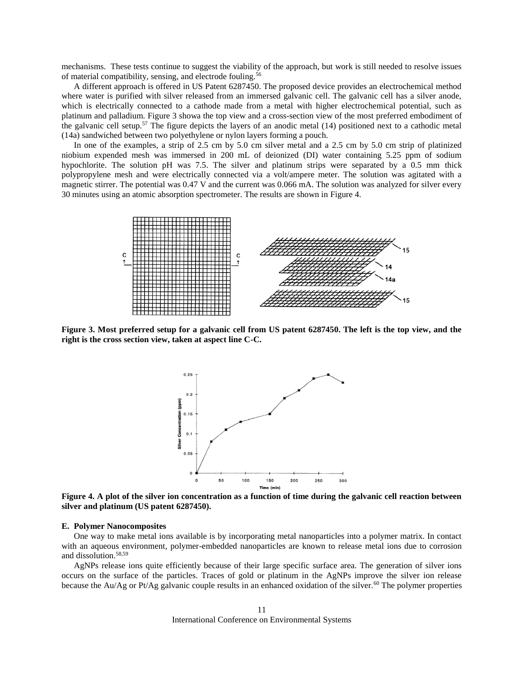mechanisms. These tests continue to suggest the viability of the approach, but work is still needed to resolve issues of material compatibility, sensing, and electrode fouling.<sup>56</sup>

A different approach is offered in US Patent 6287450. The proposed device provides an electrochemical method where water is purified with silver released from an immersed galvanic cell. The galvanic cell has a silver anode, which is electrically connected to a cathode made from a metal with higher electrochemical potential, such as platinum and palladium. [Figure 3](#page-10-0) showa the top view and a cross-section view of the most preferred embodiment of the galvanic cell setup.<sup>57</sup> The figure depicts the layers of an anodic metal  $(14)$  positioned next to a cathodic metal (14a) sandwiched between two polyethylene or nylon layers forming a pouch.

In one of the examples, a strip of 2.5 cm by 5.0 cm silver metal and a 2.5 cm by 5.0 cm strip of platinized niobium expended mesh was immersed in 200 mL of deionized (DI) water containing 5.25 ppm of sodium hypochlorite. The solution pH was 7.5. The silver and platinum strips were separated by a 0.5 mm thick polypropylene mesh and were electrically connected via a volt/ampere meter. The solution was agitated with a magnetic stirrer. The potential was 0.47 V and the current was 0.066 mA. The solution was analyzed for silver every 30 minutes using an atomic absorption spectrometer. The results are shown in [Figure 4.](#page-10-1)



<span id="page-10-0"></span>**Figure 3. Most preferred setup for a galvanic cell from US patent 6287450. The left is the top view, and the right is the cross section view, taken at aspect line C-C.**



<span id="page-10-1"></span>**Figure 4. A plot of the silver ion concentration as a function of time during the galvanic cell reaction between silver and platinum (US patent 6287450).**

#### **E. Polymer Nanocomposites**

One way to make metal ions available is by incorporating metal nanoparticles into a polymer matrix. In contact with an aqueous environment, polymer-embedded nanoparticles are known to release metal ions due to corrosion and dissolution.58,59

<span id="page-10-2"></span>AgNPs release ions quite efficiently because of their large specific surface area. The generation of silver ions occurs on the surface of the particles. Traces of gold or platinum in the AgNPs improve the silver ion release because the Au/Ag or Pt/Ag galvanic couple results in an enhanced oxidation of the silver.<sup>60</sup> The polymer properties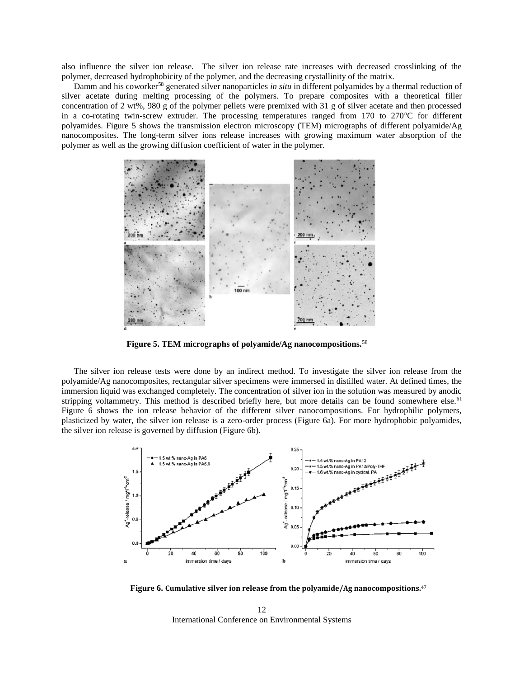also influence the silver ion release. The silver ion release rate increases with decreased crosslinking of the polymer, decreased hydrophobicity of the polymer, and the decreasing crystallinity of the matrix.

Damm and his coworker[58](#page-10-2) generated silver nanoparticles *in situ* in different polyamides by a thermal reduction of silver acetate during melting processing of the polymers. To prepare composites with a theoretical filler concentration of 2 wt%, 980 g of the polymer pellets were premixed with 31 g of silver acetate and then processed in a co-rotating twin-screw extruder. The processing temperatures ranged from  $170$  to  $270^{\circ}$ C for different polyamides. [Figure 5](#page-11-0) shows the transmission electron microscopy (TEM) micrographs of different polyamide/Ag nanocomposites. The long-term silver ions release increases with growing maximum water absorption of the polymer as well as the growing diffusion coefficient of water in the polymer.



<span id="page-11-0"></span>**Figure 5. TEM micrographs of polyamide/Ag nanocompositions.**[58](#page-10-2)

The silver ion release tests were done by an indirect method. To investigate the silver ion release from the polyamide/Ag nanocomposites, rectangular silver specimens were immersed in distilled water. At defined times, the immersion liquid was exchanged completely. The concentration of silver ion in the solution was measured by anodic stripping voltammetry. This method is described briefly here, but more details can be found somewhere else.<sup>61</sup> [Figure 6](#page-11-1) shows the ion release behavior of the different silver nanocompositions. For hydrophilic polymers, plasticized by water, the silver ion release is a zero-order process [\(Figure 6a](#page-11-1)). For more hydrophobic polyamides, the silver ion release is governed by diffusion [\(Figure 6b](#page-11-1)).



<span id="page-11-1"></span>**Figure 6. Cumulative silver ion release from the polyamide/Ag nanocompositions.**<sup>47</sup>

International Conference on Environmental Systems 12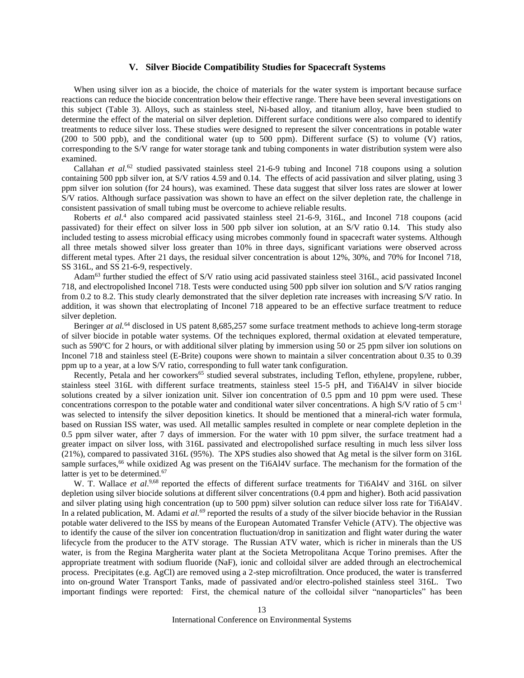#### **V. Silver Biocide Compatibility Studies for Spacecraft Systems**

When using silver ion as a biocide, the choice of materials for the water system is important because surface reactions can reduce the biocide concentration below their effective range. There have been several investigations on this subject (Table 3). Alloys, such as stainless steel, Ni-based alloy, and titanium alloy, have been studied to determine the effect of the material on silver depletion. Different surface conditions were also compared to identify treatments to reduce silver loss. These studies were designed to represent the silver concentrations in potable water (200 to 500 ppb), and the conditional water (up to 500 ppm). Different surface (S) to volume (V) ratios, corresponding to the S/V range for water storage tank and tubing components in water distribution system were also examined.

Callahan *et al.*<sup>62</sup> studied passivated stainless steel 21-6-9 tubing and Inconel 718 coupons using a solution containing 500 ppb silver ion, at S/V ratios 4.59 and 0.14. The effects of acid passivation and silver plating, using 3 ppm silver ion solution (for 24 hours), was examined. These data suggest that silver loss rates are slower at lower S/V ratios. Although surface passivation was shown to have an effect on the silver depletion rate, the challenge in consistent passivation of small tubing must be overcome to achieve reliable results.

Roberts *et al[.](#page-1-1)*<sup>4</sup> also compared acid passivated stainless steel 21-6-9, 316L, and Inconel 718 coupons (acid passivated) for their effect on silver loss in 500 ppb silver ion solution, at an S/V ratio 0.14. This study also included testing to assess microbial efficacy using microbes commonly found in spacecraft water systems. Although all three metals showed silver loss greater than 10% in three days, significant variations were observed across different metal types. After 21 days, the residual silver concentration is about 12%, 30%, and 70% for Inconel 718, SS 316L, and SS 21-6-9, respectively.

Adam<sup>63</sup> further studied the effect of S/V ratio using acid passivated stainless steel 316L, acid passivated Inconel 718, and electropolished Inconel 718. Tests were conducted using 500 ppb silver ion solution and S/V ratios ranging from 0.2 to 8.2. This study clearly demonstrated that the silver depletion rate increases with increasing S/V ratio. In addition, it was shown that electroplating of Inconel 718 appeared to be an effective surface treatment to reduce silver depletion.

Beringer *at al.*<sup>64</sup> disclosed in US patent 8,685,257 some surface treatment methods to achieve long-term storage of silver biocide in potable water systems. Of the techniques explored, thermal oxidation at elevated temperature, such as  $590^{\circ}$ C for 2 hours, or with additional silver plating by immersion using 50 or 25 ppm silver ion solutions on Inconel 718 and stainless steel (E-Brite) coupons were shown to maintain a silver concentration about 0.35 to 0.39 ppm up to a year, at a low S/V ratio, corresponding to full water tank configuration.

Recently, Petala and her coworkers<sup>65</sup> studied several substrates, including Teflon, ethylene, propylene, rubber, stainless steel 316L with different surface treatments, stainless steel 15-5 pH, and Ti6Al4V in silver biocide solutions created by a silver ionization unit. Silver ion concentration of 0.5 ppm and 10 ppm were used. These concentrations correspon to the potable water and conditional water silver concentrations. A high S/V ratio of 5 cm-1 was selected to intensify the silver deposition kinetics. It should be mentioned that a mineral-rich water formula, based on Russian ISS water, was used. All metallic samples resulted in complete or near complete depletion in the 0.5 ppm silver water, after 7 days of immersion. For the water with 10 ppm silver, the surface treatment had a greater impact on silver loss, with 316L passivated and electropolished surface resulting in much less silver loss (21%), compared to passivated 316L (95%). The XPS studies also showed that Ag metal is the silver form on 316L sample surfaces,<sup>66</sup> while oxidized Ag was present on the Ti6Al4V surface. The mechanism for the formation of the latter is yet to be determined.<sup>67</sup>

W. T. Wallace *et al.*<sup>[9,6](#page-2-2)8</sup> reported the effects of different surface treatments for Ti6Al4V and 316L on silver depletion using silver biocide solutions at different silver concentrations (0.4 ppm and higher). Both acid passivation and silver plating using high concentration (up to 500 ppm) silver solution can reduce silver loss rate for Ti6Al4V. In a related publication, M. Adami *et al.<sup>69</sup>* reported the results of a study of the silver biocide behavior in the Russian potable water delivered to the ISS by means of the European Automated Transfer Vehicle (ATV). The objective was to identify the cause of the silver ion concentration fluctuation/drop in sanitization and flight water during the water lifecycle from the producer to the ATV storage. The Russian ATV water, which is richer in minerals than the US water, is from the Regina Margherita water plant at the Societa Metropolitana Acque Torino premises. After the appropriate treatment with sodium fluoride (NaF), ionic and colloidal silver are added through an electrochemical process. Precipitates (e.g. AgCl) are removed using a 2-step microfiltration. Once produced, the water is transferred into on-ground Water Transport Tanks, made of passivated and/or electro-polished stainless steel 316L. Two important findings were reported: First, the chemical nature of the colloidal silver "nanoparticles" has been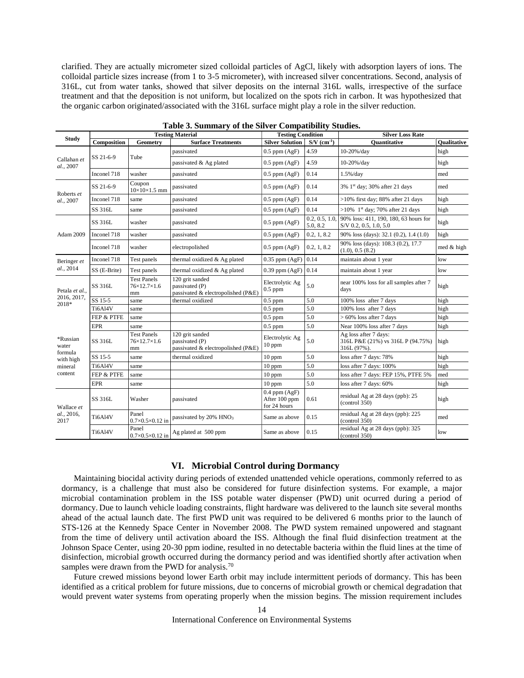clarified. They are actually micrometer sized colloidal particles of AgCl, likely with adsorption layers of ions. The colloidal particle sizes increase (from 1 to 3-5 micrometer), with increased silver concentrations. Second, analysis of 316L, cut from water tanks, showed that silver deposits on the internal 316L walls, irrespective of the surface treatment and that the deposition is not uniform, but localized on the spots rich in carbon. It was hypothesized that the organic carbon originated/associated with the 316L surface might play a role in the silver reduction.

| <b>Study</b>                           |              |                                         | <b>Testing Material</b>                                                 | <b>Testing Condition</b>                           |                            | <b>Silver Loss Rate</b>                                                   |                    |
|----------------------------------------|--------------|-----------------------------------------|-------------------------------------------------------------------------|----------------------------------------------------|----------------------------|---------------------------------------------------------------------------|--------------------|
|                                        | Composition  | Geometry                                | <b>Surface Treatments</b>                                               | <b>Silver Solution</b>                             | $S/V$ (cm <sup>-1</sup> )  | <b>Ouantitative</b>                                                       | <b>Oualitative</b> |
| Callahan et<br>al., 2007               | SS 21-6-9    | Tube                                    | passivated                                                              | $0.5$ ppm $(AgF)$                                  | 4.59                       | 10-20%/day                                                                | high               |
|                                        |              |                                         | passivated & Ag plated                                                  | $0.5$ ppm $(AgF)$                                  | 4.59                       | $10-20\% /day$                                                            | high               |
|                                        | Inconel 718  | washer                                  | passivated                                                              | $0.5$ ppm $(AgF)$                                  | 0.14                       | $1.5\%$ /day                                                              | med                |
| Roberts et<br>al., 2007                | SS 21-6-9    | Coupon<br>$10\times10\times1.5$ mm      | passivated                                                              | $0.5$ ppm $(AgF)$                                  | 0.14                       | 3% 1st day; 30% after 21 days                                             | med                |
|                                        | Inconel 718  | same                                    | passivated                                                              | $0.5$ ppm $(AgF)$                                  | 0.14                       | $>10\%$ first day; 88% after 21 days                                      | high               |
|                                        | SS 316L      | same                                    | passivated                                                              | $0.5$ ppm $(AgF)$                                  | 0.14                       | $>10\%$ 1 <sup>st</sup> day; 70% after 21 days                            | high               |
| Adam 2009                              | SS 316L      | washer                                  | passivated                                                              | $0.5$ ppm $(AgF)$                                  | 0.2, 0.5, 1.0,<br>5.0, 8.2 | 90% loss: 411, 190, 180, 63 hours for<br>S/V 0.2, 0.5, 1.0, 5.0           | high               |
|                                        | Inconel 718  | washer                                  | passivated                                                              | $0.5$ ppm $(AgF)$                                  | 0.2, 1, 8.2                | 90% loss (days): 32.1 (0.2), 1.4 (1.0)                                    | high               |
|                                        | Inconel 718  | washer                                  | electropolished                                                         | $0.5$ ppm $(AgF)$                                  | 0.2, 1, 8.2                | 90% loss (days): 108.3 (0.2), 17.7<br>(1.0), 0.5 (8.2)                    | med & high         |
| Beringer et<br>al., 2014               | Inconel 718  | Test panels                             | thermal oxidized & Ag plated                                            | $0.35$ ppm $(AgF)$                                 | 0.14                       | maintain about 1 year                                                     | low                |
|                                        | SS (E-Brite) | Test panels                             | thermal oxidized & Ag plated                                            | $0.39$ ppm $(AgF)$                                 | 0.14                       | maintain about 1 year                                                     | low                |
| Petala et al.,<br>2016, 2017,<br>2018* | SS 316L      | <b>Test Panels</b><br>76×12.7×1.6<br>mm | 120 grit sanded<br>passivated (P)<br>passivated & electropolished (P&E) | Electrolytic Ag<br>$0.5$ ppm                       | 5.0                        | near 100% loss for all samples after 7<br>days                            | high               |
|                                        | SS 15-5      | same                                    | thermal oxidized                                                        | $0.5$ ppm                                          | 5.0                        | 100% loss after 7 days                                                    | high               |
|                                        | Ti6Al4V      | same                                    |                                                                         | $0.5$ ppm                                          | 5.0                        | 100% loss after 7 days                                                    | high               |
|                                        | FEP & PTFE   | same                                    |                                                                         | $0.5$ ppm                                          | 5.0                        | $>60\%$ loss after 7 days                                                 | high               |
|                                        | <b>EPR</b>   | same                                    |                                                                         | $0.5$ ppm                                          | 5.0                        | Near 100% loss after 7 days                                               | high               |
| *Russian<br>water                      | SS 316L      | <b>Test Panels</b><br>76×12.7×1.6<br>mm | 120 grit sanded<br>passivated (P)<br>passivated & electropolished (P&E) | Electrolytic Ag<br>$10$ ppm                        | 5.0                        | Ag loss after 7 days:<br>316L P&E (21%) vs 316L P (94.75%)<br>316L (97%). | high               |
| formula<br>with high                   | SS 15-5      | same                                    | thermal oxidized                                                        | $10$ ppm                                           | 5.0                        | loss after 7 days: 78%                                                    | high               |
| mineral<br>content                     | Ti6Al4V      | same                                    |                                                                         | $10$ ppm                                           | 5.0                        | loss after 7 days: 100%                                                   | high               |
|                                        | FEP & PTFE   | same                                    |                                                                         | $10$ ppm                                           | 5.0                        | loss after 7 days: FEP 15%, PTFE 5%                                       | med                |
|                                        | <b>EPR</b>   | same                                    |                                                                         | $10$ ppm                                           | $5.0\,$                    | loss after 7 days: 60%                                                    | high               |
| Wallace et<br>al., 2016,<br>2017       | SS 316L      | Washer                                  | passivated                                                              | $0.4$ ppm $(AgF)$<br>After 100 ppm<br>for 24 hours | 0.61                       | residual Ag at 28 days (ppb): 25<br>(control350)                          | high               |
|                                        | Ti6Al4V      | Panel<br>$0.7\times0.5\times0.12$ in    | passivated by 20% HNO <sub>3</sub>                                      | Same as above                                      | 0.15                       | residual Ag at 28 days (ppb): 225<br>(control350)                         | med                |
|                                        | Ti6Al4V      | Panel<br>$0.7\times0.5\times0.12$ in    | Ag plated at 500 ppm                                                    | Same as above                                      | 0.15                       | residual Ag at 28 days (ppb): 325<br>(control 350)                        | low                |

**Table 3. Summary of the Silver Compatibility Studies.**

# **VI. Microbial Control during Dormancy**

Maintaining biocidal activity during periods of extended unattended vehicle operations, commonly referred to as dormancy, is a challenge that must also be considered for future disinfection systems. For example, a major microbial contamination problem in the ISS potable water dispenser (PWD) unit ocurred during a period of dormancy. Due to launch vehicle loading constraints, flight hardware was delivered to the launch site several months ahead of the actual launch date. The first PWD unit was required to be delivered 6 months prior to the launch of STS-126 at the Kennedy Space Center in November 2008. The PWD system remained unpowered and stagnant from the time of delivery until activation aboard the ISS. Although the final fluid disinfection treatment at the Johnson Space Center, using 20-30 ppm iodine, resulted in no detectable bacteria within the fluid lines at the time of disinfection, microbial growth occurred during the dormancy period and was identified shortly after activation when samples were drawn from the PWD for analysis.<sup>70</sup>

Future crewed missions beyond lower Earth orbit may include intermittent periods of dormancy. This has been identified as a critical problem for future missions, due to concerns of microbial growth or chemical degradation that would prevent water systems from operating properly when the mission begins. The mission requirement includes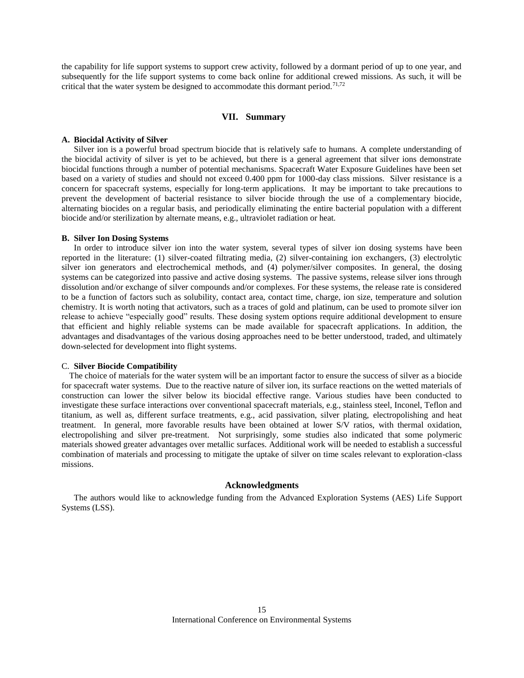the capability for life support systems to support crew activity, followed by a dormant period of up to one year, and subsequently for the life support systems to come back online for additional crewed missions. As such, it will be critical that the water system be designed to accommodate this dormant period.<sup>71,72</sup>

# **VII. Summary**

#### **A. Biocidal Activity of Silver**

Silver ion is a powerful broad spectrum biocide that is relatively safe to humans. A complete understanding of the biocidal activity of silver is yet to be achieved, but there is a general agreement that silver ions demonstrate biocidal functions through a number of potential mechanisms. Spacecraft Water Exposure Guidelines have been set based on a variety of studies and should not exceed 0.400 ppm for 1000-day class missions. Silver resistance is a concern for spacecraft systems, especially for long-term applications. It may be important to take precautions to prevent the development of bacterial resistance to silver biocide through the use of a complementary biocide, alternating biocides on a regular basis, and periodically eliminating the entire bacterial population with a different biocide and/or sterilization by alternate means, e.g., ultraviolet radiation or heat.

#### **B. Silver Ion Dosing Systems**

In order to introduce silver ion into the water system, several types of silver ion dosing systems have been reported in the literature: (1) silver-coated filtrating media, (2) silver-containing ion exchangers, (3) electrolytic silver ion generators and electrochemical methods, and (4) polymer/silver composites. In general, the dosing systems can be categorized into passive and active dosing systems. The passive systems, release silver ions through dissolution and/or exchange of silver compounds and/or complexes. For these systems, the release rate is considered to be a function of factors such as solubility, contact area, contact time, charge, ion size, temperature and solution chemistry. It is worth noting that activators, such as a traces of gold and platinum, can be used to promote silver ion release to achieve "especially good" results. These dosing system options require additional development to ensure that efficient and highly reliable systems can be made available for spacecraft applications. In addition, the advantages and disadvantages of the various dosing approaches need to be better understood, traded, and ultimately down-selected for development into flight systems.

# C. **Silver Biocide Compatibility**

The choice of materials for the water system will be an important factor to ensure the success of silver as a biocide for spacecraft water systems. Due to the reactive nature of silver ion, its surface reactions on the wetted materials of construction can lower the silver below its biocidal effective range. Various studies have been conducted to investigate these surface interactions over conventional spacecraft materials, e.g., stainless steel, Inconel, Teflon and titanium, as well as, different surface treatments, e.g., acid passivation, silver plating, electropolishing and heat treatment. In general, more favorable results have been obtained at lower S/V ratios, with thermal oxidation, electropolishing and silver pre-treatment. Not surprisingly, some studies also indicated that some polymeric materials showed greater advantages over metallic surfaces. Additional work will be needed to establish a successful combination of materials and processing to mitigate the uptake of silver on time scales relevant to exploration-class missions.

## **Acknowledgments**

The authors would like to acknowledge funding from the Advanced Exploration Systems (AES) Life Support Systems (LSS).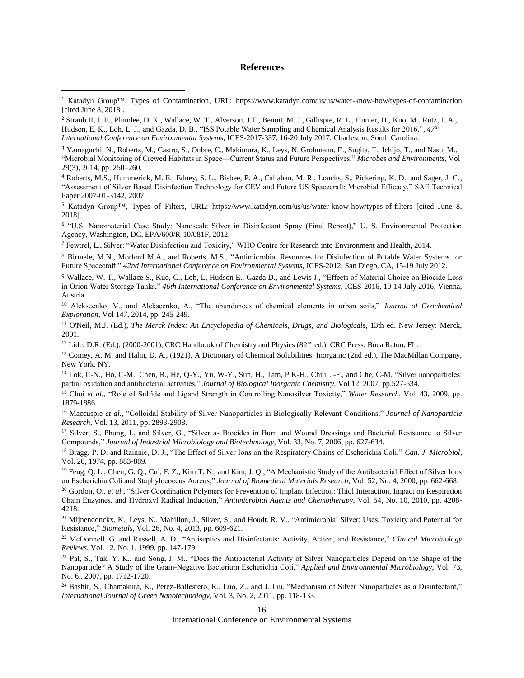### **References**

 $\overline{a}$ 

<sup>3</sup> Yamaguchi, N., Roberts, M., Castro, S., Oubre, C., Makimura, K., Leys, N. Grohmann, E., Sugita, T., Ichijo, T., and Nasu, M., "Microbial Monitoring of Crewed Habitats in Space—Current Status and Future Perspectives," *Microbes and Environments,* Vol 29(3), 2014, pp. 250–260.

<sup>4</sup> Roberts, M.S., Hummerick, M. E., Edney, S. L., Bisbee, P. A., Callahan, M. R., Loucks, S., Pickering, K. D., and Sager, J. C., "Assessment of Silver Based Disinfection Technology for CEV and Future US Spacecraft: Microbial Efficacy," SAE Technical Paper 2007-01-3142, 2007.

<sup>5</sup> Katadyn Group™, Types of Filters, URL: https://www.katadyn.com/us/us/water-know-how/types-of-filters [cited June 8, 2018].

6 "U.S. Nanomaterial Case Study: Nanoscale Silver in Disinfectant Spray (Final Report)," U. S. Environmental Protection Agency, Washington, DC, EPA/600/R-10/081F, 2012.

<sup>7</sup> Fewtrel, L., Silver: "Water Disinfection and Toxicity," WHO Centre for Research into Environment and Health, 2014.

<sup>8</sup> Birmele, M.N., Morford M.A., and Roberts, M.S., "Antimicrobial Resources for Disinfection of Potable Water Systems for Future Spacecraft," *42nd International Conference on Environmental Systems*, ICES-2012, San Diego, CA, 15-19 July 2012.

<sup>9</sup> Wallace, W. T., Wallace S., Kuo, C., Loh, L, Hudson E., Gazda D., and Lewis J., "Effects of Material Choice on Biocide Loss in Orion Water Storage Tanks," *46th International Conference on Environmental Systems*, ICES-2016, 10-14 July 2016, Vienna, Austria.

<sup>10</sup> Alekseenko, V., and Alekseenko, A., "The abundances of chemical elements in urban soils," *Journal of Geochemical Exploration,* Vol 147, 2014, pp. 245-249.

<sup>11</sup> O'Neil, M.J. (Ed.), *The Merck Index: An Encyclopedia of Chemicals, Drugs, and Biologicals*, 13th ed. New Jersey: Merck, 2001.

<sup>12</sup> Lide, D.R. (Ed.), (2000-2001), CRC Handbook of Chemistry and Physics (82<sup>nd</sup> ed.), CRC Press, Boca Raton, FL.

<sup>13</sup> Comey, A. M. and Hahn, D. A., (1921), A Dictionary of Chemical Solubilities: Inorganic (2nd ed.), The MacMillan Company, New York, NY.

<sup>14</sup> Lok, C-N., Ho, C-M., Chen, R., He, Q-Y., Yu, W-Y., Sun, H., Tam, P.K-H., Chiu, J-F., and Che, C-M, "Silver nanoparticles: partial oxidation and antibacterial activities," *Journal of Biological Inorganic Chemistry*, Vol 12, 2007, pp.527-534.

<sup>15</sup> Choi *et al.,* "Role of Sulfide and Ligand Strength in Controlling Nanosilver Toxicity," *Water Research*, Vol. 43, 2009, pp. 1879-1886.

<sup>16</sup> Maccuspie *et al.*, "Colloidal Stability of Silver Nanoparticles in Biologically Relevant Conditions," *Journal of Nanoparticle Research*, Vol. 13, 2011, pp. 2893-2908.

<sup>17</sup> Silver, S., Phung, I., and Silver, G., "Silver as Biocides in Burn and Wound Dressings and Bacterial Resistance to Silver Compounds," *Journal of Industrial Microbiology and Biotechnology*, Vol. 33, No. 7, 2006, pp. 627-634.

<sup>18</sup> Bragg, P. D. and Rainnie, D. J., "The Effect of Silver Ions on the Respiratory Chains of Escherichia Coli," *Can. J. Microbiol*, Vol. 20, 1974, pp. 883-889.

<sup>19</sup> Feng, Q. L., Chen, G. Q., Cui, F. Z., Kim T. N., and Kim, J. Q., "A Mechanistic Study of the Antibacterial Effect of Silver Ions on Escherichia Coli and Staphylococcus Aureus," *Journal of Biomedical Materials Research*, Vol. 52, No. 4, 2000, pp. 662-668.

<sup>20</sup> Gordon, O., *et al.*, "Silver Coordination Polymers for Prevention of Implant Infection: Thiol Interaction, Impact on Respiration Chain Enzymes, and Hydroxyl Radical Induction," *Antimicrobial Agents and Chemotherapy*, Vol. 54, No. 10, 2010, pp. 4208- 4218.

<sup>21</sup> Mijnendonckx, K., Leys, N., Mahillon, J., Silver, S., and Houdt, R. V., "Antimicrobial Silver: Uses, Toxicity and Potential for Resistance," *Biometals*, Vol. 26, No. 4, 2013, pp. 609-621.

<sup>22</sup> McDonnell, G. and Russell, A. D., "Antiseptics and Disinfectants: Activity, Action, and Resistance," *Clinical Microbiology Reviews*, Vol. 12, No. 1, 1999, pp. 147-179.

<sup>23</sup> Pal, S., Tak, Y. K., and Song, J. M., "Does the Antibacterial Activity of Silver Nanoparticles Depend on the Shape of the Nanoparticle? A Study of the Gram-Negative Bacterium Escherichia Coli," *Applied and Environmental Microbiology*, Vol. 73, No. 6., 2007, pp. 1712-1720.

<sup>24</sup> Bashir, S., Chamakura, K., Perez-Ballestero, R., Luo, Z., and J. Liu, "Mechanism of Silver Nanoparticles as a Disinfectant," *International Journal of Green Nanotechnology*, Vol. 3, No. 2, 2011, pp. 118-133.

16

International Conference on Environmental Systems

<sup>1</sup> Katadyn Group™, Types of Contamination, URL:<https://www.katadyn.com/us/us/water-know-how/types-of-contamination> [cited June 8, 2018].

<sup>2</sup> Straub II, J. E., Plumlee, D. K., Wallace, W. T., Alverson, J.T., Benoit, M. J., Gillispie, R. L., Hunter, D., Kuo, M., Rutz, J. A., Hudson, E. K., Loh, L. J., and Gazda, D. B., "ISS Potable Water Sampling and Chemical Analysis Results for 2016,"*, 47th International Conference on Environmental Systems*, ICES-2017-337, 16-20 July 2017, Charleston, South Carolina.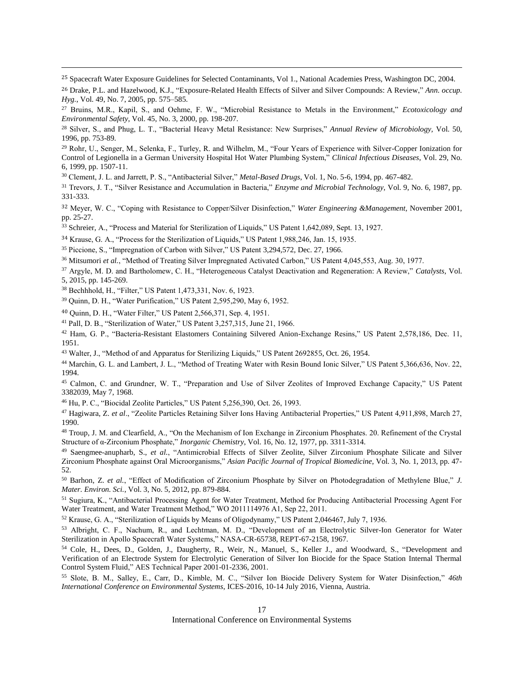<sup>25</sup> Spacecraft Water Exposure Guidelines for Selected Contaminants, Vol 1., National Academies Press, Washington DC, 2004.

<sup>26</sup> Drake, P.L. and Hazelwood, K.J., "Exposure-Related Health Effects of Silver and Silver Compounds: A Review," *Ann. occup. Hyg.*, Vol. 49, No. 7, 2005, pp. 575–585.

<sup>27</sup> Bruins, M.R., Kapil, S., and Oehme, F. W., "Microbial Resistance to Metals in the Environment," *Ecotoxicology and Environmental Safety*, Vol. 45, No. 3, 2000, pp. 198-207.

<sup>29</sup> Rohr, U., Senger, M., Selenka, F., Turley, R. and Wilhelm, M., "Four Years of Experience with Silver-Copper Ionization for Control of Legionella in a German University Hospital Hot Water Plumbing System," *Clinical Infectious Diseases*, Vol. 29, No. 6, 1999, pp. 1507-11.

<sup>30</sup> Clement, J. L. and Jarrett, P. S., "Antibacterial Silver," *Metal-Based Drugs*, Vol. 1, No. 5-6, 1994, pp. 467-482.

<sup>31</sup> Trevors, J. T., "Silver Resistance and Accumulation in Bacteria," *Enzyme and Microbial Technology*, Vol. 9, No. 6, 1987, pp. 331-333.

<sup>32</sup> Meyer, W. C., "Coping with Resistance to Copper/Silver Disinfection," *Water Engineering &Management,* November 2001, pp. 25-27.

<sup>33</sup> Schreier, A., "Process and Material for Sterilization of Liquids," US Patent 1,642,089, Sept. 13, 1927.

<sup>34</sup> Krause, G. A., "Process for the Sterilization of Liquids," US Patent 1,988,246, Jan. 15, 1935.

<sup>35</sup> Piccione, S., "Impregnation of Carbon with Silver," US Patent 3,294,572, Dec. 27, 1966.

<sup>36</sup> Mitsumori *et al.*, "Method of Treating Silver Impregnated Activated Carbon," US Patent 4,045,553, Aug. 30, 1977.

<sup>37</sup> Argyle, M. D. and Bartholomew, C. H., "Heterogeneous Catalyst Deactivation and Regeneration: A Review," *Catalysts*, Vol. 5, 2015, pp. 145-269.

<sup>38</sup> Bechhhold, H., "Filter," US Patent 1,473,331, Nov. 6, 1923.

 $\overline{a}$ 

<sup>39</sup> Quinn, D. H., "Water Purification," US Patent 2,595,290, May 6, 1952.

<sup>40</sup> Quinn, D. H., "Water Filter," US Patent 2,566,371, Sep. 4, 1951.

<sup>41</sup> Pall, D. B., "Sterilization of Water," US Patent 3,257,315, June 21, 1966.

<sup>42</sup> Ham, G. P., "Bacteria-Resistant Elastomers Containing Silvered Anion-Exchange Resins," US Patent 2,578,186, Dec. 11, 1951.

<sup>43</sup> Walter, J., "Method of and Apparatus for Sterilizing Liquids," US Patent 2692855, Oct. 26, 1954.

<sup>44</sup> Marchin, G. L. and Lambert, J. L., "Method of Treating Water with Resin Bound Ionic Silver," US Patent 5,366,636, Nov. 22, 1994.

<sup>45</sup> Calmon, C. and Grundner, W. T., "Preparation and Use of Silver Zeolites of Improved Exchange Capacity," US Patent 3382039, May 7, 1968.

<sup>46</sup> Hu, P. C., "Biocidal Zeolite Particles," US Patent 5,256,390, Oct. 26, 1993.

<sup>47</sup> Hagiwara, Z. *et al*., "Zeolite Particles Retaining Silver Ions Having Antibacterial Properties," US Patent 4,911,898, March 27, 1990.

<sup>48</sup> Troup, J. M. and Clearfield, A., "On the Mechanism of Ion Exchange in Zirconium Phosphates. 20. Refinement of the Crystal Structure of α-Zirconium Phosphate," *Inorganic Chemistry*, Vol. 16, No. 12, 1977, pp. 3311-3314.

49 Saengmee-anupharb, S., et al., "Antimicrobial Effects of Silver Zeolite, Silver Zirconium Phosphate Silicate and Silver Zirconium Phosphate against Oral Microorganisms," *Asian Pacific Journal of Tropical Biomedicine*, Vol. 3, No. 1, 2013, pp. 47- 52.

<sup>50</sup> Barhon, Z. *et al.*, "Effect of Modification of Zirconium Phosphate by Silver on Photodegradation of Methylene Blue," *J. Mater. Environ. Sci.*, Vol. 3, No. 5, 2012, pp. 879-884.

<sup>51</sup> Sugiura, K., "Antibacterial Processing Agent for Water Treatment, Method for Producing Antibacterial Processing Agent For Water Treatment, and Water Treatment Method," WO 2011114976 A1, Sep 22, 2011.

<sup>52</sup> Krause, G. A., "Sterilization of Liquids by Means of Oligodynamy," US Patent 2,046467, July 7, 1936.

<sup>53</sup> Albright, C. F., Nachum, R., and Lechtman, M. D., "Development of an Electrolytic Silver-Ion Generator for Water Sterilization in Apollo Spacecraft Water Systems," NASA-CR-65738, REPT-67-2158, 1967.

<sup>54</sup> Cole, H., Dees, D., Golden, J., Daugherty, R., Weir, N., Manuel, S., Keller J., and Woodward, S., "Development and Verification of an Electrode System for Electrolytic Generation of Silver Ion Biocide for the Space Station Internal Thermal Control System Fluid," AES Technical Paper 2001-01-2336, 2001.

<sup>55</sup> Slote, B. M., Salley, E., Carr, D., Kimble, M. C., "Silver Ion Biocide Delivery System for Water Disinfection," *46th International Conference on Environmental Systems*, ICES-2016, 10-14 July 2016, Vienna, Austria.

<sup>28</sup> Silver, S., and Phug, L. T., "Bacterial Heavy Metal Resistance: New Surprises," *Annual Review of Microbiology,* Vol. 50, 1996, pp. 753-89.